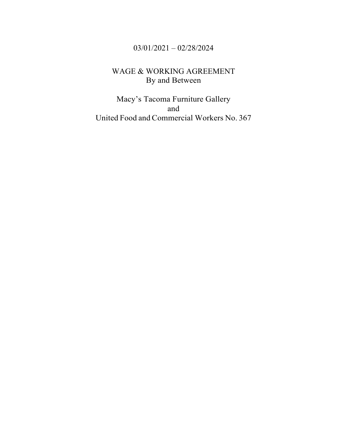# 03/01/2021 – 02/28/2024

# WAGE & WORKING AGREEMENT By and Between

Macy's Tacoma Furniture Gallery and United Food and Commercial Workers No. 367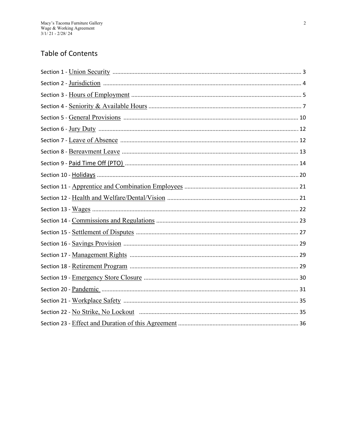## **Table of Contents**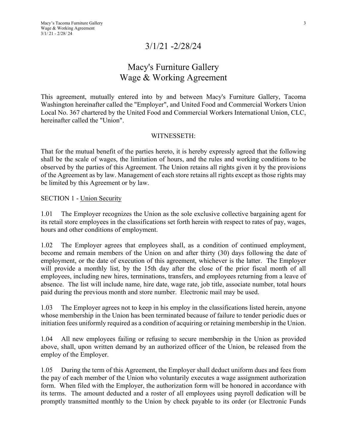# 3/1/21 -2/28/24

# Macy's Furniture Gallery Wage & Working Agreement

This agreement, mutually entered into by and between Macy's Furniture Gallery, Tacoma Washington hereinafter called the "Employer", and United Food and Commercial Workers Union Local No. 367 chartered by the United Food and Commercial Workers International Union, CLC, hereinafter called the "Union".

#### WITNESSETH:

That for the mutual benefit of the parties hereto, it is hereby expressly agreed that the following shall be the scale of wages, the limitation of hours, and the rules and working conditions to be observed by the parties of this Agreement. The Union retains all rights given it by the provisions of the Agreement as by law. Management of each store retains all rights except as those rights may be limited by this Agreement or by law.

SECTION 1 - Union Security

1.01 The Employer recognizes the Union as the sole exclusive collective bargaining agent for its retail store employees in the classifications set forth herein with respect to rates of pay, wages, hours and other conditions of employment.

1.02 The Employer agrees that employees shall, as a condition of continued employment, become and remain members of the Union on and after thirty (30) days following the date of employment, or the date of execution of this agreement, whichever is the latter. The Employer will provide a monthly list, by the 15th day after the close of the prior fiscal month of all employees, including new hires, terminations, transfers, and employees returning from a leave of absence. The list will include name, hire date, wage rate, job title, associate number, total hours paid during the previous month and store number. Electronic mail may be used.

1.03 The Employer agrees not to keep in his employ in the classifications listed herein, anyone whose membership in the Union has been terminated because of failure to tender periodic dues or initiation fees uniformly required as a condition of acquiring or retaining membership in the Union.

1.04 All new employees failing or refusing to secure membership in the Union as provided above, shall, upon written demand by an authorized officer of the Union, be released from the employ of the Employer.

1.05 During the term of this Agreement, the Employer shall deduct uniform dues and fees from the pay of each member of the Union who voluntarily executes a wage assignment authorization form. When filed with the Employer, the authorization form will be honored in accordance with its terms. The amount deducted and a roster of all employees using payroll dedication will be promptly transmitted monthly to the Union by check payable to its order (or Electronic Funds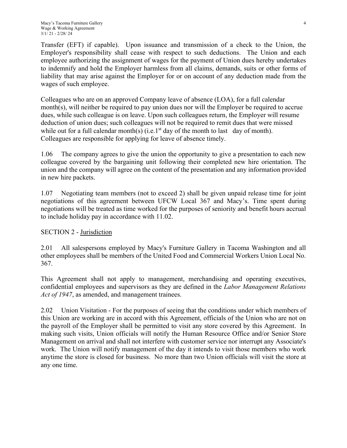Transfer (EFT) if capable). Upon issuance and transmission of a check to the Union, the Employer's responsibility shall cease with respect to such deductions. The Union and each employee authorizing the assignment of wages for the payment of Union dues hereby undertakes to indemnify and hold the Employer harmless from all claims, demands, suits or other forms of liability that may arise against the Employer for or on account of any deduction made from the wages of such employee.

Colleagues who are on an approved Company leave of absence (LOA), for a full calendar month(s), will neither be required to pay union dues nor will the Employer be required to accrue dues, while such colleague is on leave. Upon such colleagues return, the Employer will resume deduction of union dues; such colleagues will not be required to remit dues that were missed while out for a full calendar month(s) (i.e.  $1<sup>st</sup>$  day of the month to last day of month). Colleagues are responsible for applying for leave of absence timely.

1.06 The company agrees to give the union the opportunity to give a presentation to each new colleague covered by the bargaining unit following their completed new hire orientation. The union and the company will agree on the content of the presentation and any information provided in new hire packets.

1.07 Negotiating team members (not to exceed 2) shall be given unpaid release time for joint negotiations of this agreement between UFCW Local 367 and Macy's. Time spent during negotiations will be treated as time worked for the purposes of seniority and benefit hours accrual to include holiday pay in accordance with 11.02.

## SECTION 2 - Jurisdiction

2.01 All salespersons employed by Macy's Furniture Gallery in Tacoma Washington and all other employees shall be members of the United Food and Commercial Workers Union Local No. 367.

This Agreement shall not apply to management, merchandising and operating executives, confidential employees and supervisors as they are defined in the *Labor Management Relations*  Act of 1947, as amended, and management trainees.

2.02 Union Visitation - For the purposes of seeing that the conditions under which members of this Union are working are in accord with this Agreement, officials of the Union who are not on the payroll of the Employer shall be permitted to visit any store covered by this Agreement. In making such visits, Union officials will notify the Human Resource Office and/or Senior Store Management on arrival and shall not interfere with customer service nor interrupt any Associate's work. The Union will notify management of the day it intends to visit those members who work anytime the store is closed for business. No more than two Union officials will visit the store at any one time.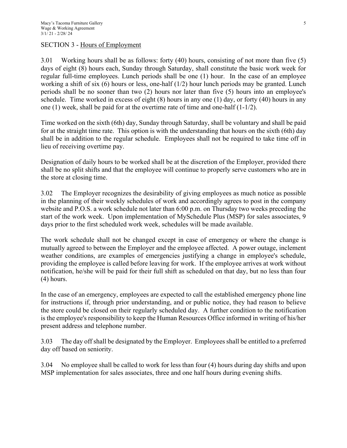#### SECTION 3 - Hours of Employment

3.01 Working hours shall be as follows: forty (40) hours, consisting of not more than five (5) days of eight (8) hours each, Sunday through Saturday, shall constitute the basic work week for regular full-time employees. Lunch periods shall be one (1) hour. In the case of an employee working a shift of six (6) hours or less, one-half (1/2) hour lunch periods may be granted. Lunch periods shall be no sooner than two (2) hours nor later than five (5) hours into an employee's schedule. Time worked in excess of eight (8) hours in any one (1) day, or forty (40) hours in any one (1) week, shall be paid for at the overtime rate of time and one-half  $(1-1/2)$ .

Time worked on the sixth (6th) day, Sunday through Saturday, shall be voluntary and shall be paid for at the straight time rate. This option is with the understanding that hours on the sixth (6th) day shall be in addition to the regular schedule. Employees shall not be required to take time off in lieu of receiving overtime pay.

Designation of daily hours to be worked shall be at the discretion of the Employer, provided there shall be no split shifts and that the employee will continue to properly serve customers who are in the store at closing time.

3.02 The Employer recognizes the desirability of giving employees as much notice as possible in the planning of their weekly schedules of work and accordingly agrees to post in the company website and P.O.S. a work schedule not later than 6:00 p.m. on Thursday two weeks preceding the start of the work week. Upon implementation of MySchedule Plus (MSP) for sales associates, 9 days prior to the first scheduled work week, schedules will be made available.

The work schedule shall not be changed except in case of emergency or where the change is mutually agreed to between the Employer and the employee affected. A power outage, inclement weather conditions, are examples of emergencies justifying a change in employee's schedule, providing the employee is called before leaving for work. If the employee arrives at work without notification, he/she will be paid for their full shift as scheduled on that day, but no less than four (4) hours.

In the case of an emergency, employees are expected to call the established emergency phone line for instructions if, through prior understanding, and or public notice, they had reason to believe the store could be closed on their regularly scheduled day. A further condition to the notification is the employee's responsibility to keep the Human Resources Office informed in writing of his/her present address and telephone number.

3.03 The day off shall be designated by the Employer. Employees shall be entitled to a preferred day off based on seniority.

3.04 No employee shall be called to work for less than four (4) hours during day shifts and upon MSP implementation for sales associates, three and one half hours during evening shifts.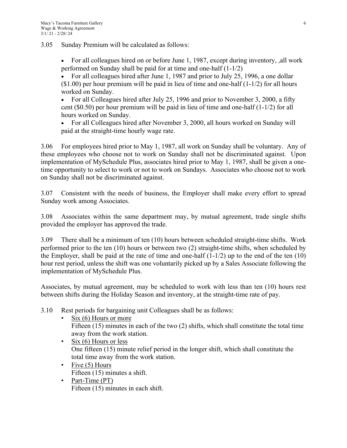3.05 Sunday Premium will be calculated as follows:

 For all colleagues hired on or before June 1, 1987, except during inventory, ,all work performed on Sunday shall be paid for at time and one-half (1-1/2)

 For all colleagues hired after June 1, 1987 and prior to July 25, 1996, a one dollar  $($1.00)$  per hour premium will be paid in lieu of time and one-half  $(1-1/2)$  for all hours worked on Sunday.

 For all Colleagues hired after July 25, 1996 and prior to November 3, 2000, a fifty cent (\$0.50) per hour premium will be paid in lieu of time and one-half (1-1/2) for all hours worked on Sunday.

 For all Colleagues hired after November 3, 2000, all hours worked on Sunday will paid at the straight-time hourly wage rate.

3.06 For employees hired prior to May 1, 1987, all work on Sunday shall be voluntary. Any of these employees who choose not to work on Sunday shall not be discriminated against. Upon implementation of MySchedule Plus, associates hired prior to May 1, 1987, shall be given a onetime opportunity to select to work or not to work on Sundays. Associates who choose not to work on Sunday shall not be discriminated against.

3.07 Consistent with the needs of business, the Employer shall make every effort to spread Sunday work among Associates.

3.08 Associates within the same department may, by mutual agreement, trade single shifts provided the employer has approved the trade.

3.09 There shall be a minimum of ten (10) hours between scheduled straight-time shifts. Work performed prior to the ten (10) hours or between two (2) straight-time shifts, when scheduled by the Employer, shall be paid at the rate of time and one-half  $(1-1/2)$  up to the end of the ten  $(10)$ hour rest period, unless the shift was one voluntarily picked up by a Sales Associate following the implementation of MySchedule Plus.

Associates, by mutual agreement, may be scheduled to work with less than ten (10) hours rest between shifts during the Holiday Season and inventory, at the straight-time rate of pay.

- 3.10 Rest periods for bargaining unit Colleagues shall be as follows:
	- Six (6) Hours or more Fifteen (15) minutes in each of the two (2) shifts, which shall constitute the total time away from the work station.
	- Six  $(6)$  Hours or less One fifteen (15) minute relief period in the longer shift, which shall constitute the total time away from the work station.
	- Five  $(5)$  Hours Fifteen (15) minutes a shift.
	- Part-Time (PT) Fifteen (15) minutes in each shift.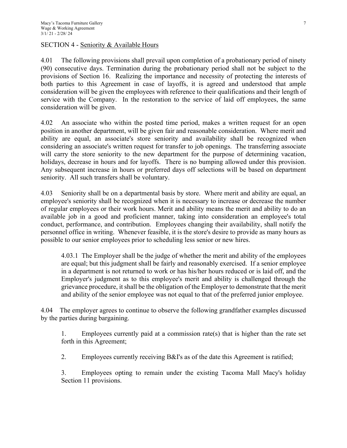## SECTION 4 - Seniority & Available Hours

4.01 The following provisions shall prevail upon completion of a probationary period of ninety (90) consecutive days. Termination during the probationary period shall not be subject to the provisions of Section 16. Realizing the importance and necessity of protecting the interests of both parties to this Agreement in case of layoffs, it is agreed and understood that ample consideration will be given the employees with reference to their qualifications and their length of service with the Company. In the restoration to the service of laid off employees, the same consideration will be given.

4.02 An associate who within the posted time period, makes a written request for an open position in another department, will be given fair and reasonable consideration. Where merit and ability are equal, an associate's store seniority and availability shall be recognized when considering an associate's written request for transfer to job openings. The transferring associate will carry the store seniority to the new department for the purpose of determining vacation, holidays, decrease in hours and for layoffs. There is no bumping allowed under this provision. Any subsequent increase in hours or preferred days off selections will be based on department seniority. All such transfers shall be voluntary.

4.03 Seniority shall be on a departmental basis by store. Where merit and ability are equal, an employee's seniority shall be recognized when it is necessary to increase or decrease the number of regular employees or their work hours. Merit and ability means the merit and ability to do an available job in a good and proficient manner, taking into consideration an employee's total conduct, performance, and contribution. Employees changing their availability, shall notify the personnel office in writing. Whenever feasible, it is the store's desire to provide as many hours as possible to our senior employees prior to scheduling less senior or new hires.

4.03.1 The Employer shall be the judge of whether the merit and ability of the employees are equal; but this judgment shall be fairly and reasonably exercised. If a senior employee in a department is not returned to work or has his/her hours reduced or is laid off, and the Employer's judgment as to this employee's merit and ability is challenged through the grievance procedure, it shall be the obligation of the Employer to demonstrate that the merit and ability of the senior employee was not equal to that of the preferred junior employee.

4.04 The employer agrees to continue to observe the following grandfather examples discussed by the parties during bargaining.

1. Employees currently paid at a commission rate(s) that is higher than the rate set forth in this Agreement;

2. Employees currently receiving B&I's as of the date this Agreement is ratified;

3. Employees opting to remain under the existing Tacoma Mall Macy's holiday Section 11 provisions.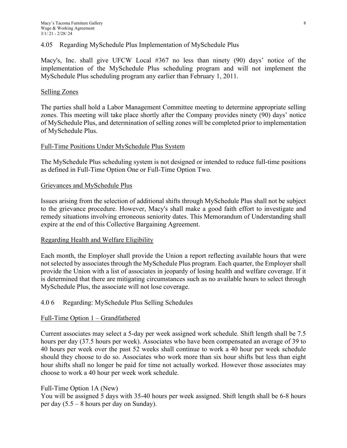#### 4.05 Regarding MySchedule Plus Implementation of MySchedule Plus

Macy's, Inc. shall give UFCW Local #367 no less than ninety (90) days' notice of the implementation of the MySchedule Plus scheduling program and will not implement the MySchedule Plus scheduling program any earlier than February 1, 2011.

#### Selling Zones

The parties shall hold a Labor Management Committee meeting to determine appropriate selling zones. This meeting will take place shortly after the Company provides ninety (90) days' notice of MySchedule Plus, and determination of selling zones will be completed prior to implementation of MySchedule Plus.

#### Full-Time Positions Under MySchedule Plus System

The MySchedule Plus scheduling system is not designed or intended to reduce full-time positions as defined in Full-Time Option One or Full-Time Option Two.

#### Grievances and MySchedule Plus

Issues arising from the selection of additional shifts through MySchedule Plus shall not be subject to the grievance procedure. However, Macy's shall make a good faith effort to investigate and remedy situations involving erroneous seniority dates. This Memorandum of Understanding shall expire at the end of this Collective Bargaining Agreement.

#### Regarding Health and Welfare Eligibility

Each month, the Employer shall provide the Union a report reflecting available hours that were not selected by associates through the MySchedule Plus program. Each quarter, the Employer shall provide the Union with a list of associates in jeopardy of losing health and welfare coverage. If it is determined that there are mitigating circumstances such as no available hours to select through MySchedule Plus, the associate will not lose coverage.

#### 4.0 6 Regarding: MySchedule Plus Selling Schedules

#### Full-Time Option 1 – Grandfathered

Current associates may select a 5-day per week assigned work schedule. Shift length shall be 7.5 hours per day (37.5 hours per week). Associates who have been compensated an average of 39 to 40 hours per week over the past 52 weeks shall continue to work a 40 hour per week schedule should they choose to do so. Associates who work more than six hour shifts but less than eight hour shifts shall no longer be paid for time not actually worked. However those associates may choose to work a 40 hour per week work schedule.

#### Full-Time Option 1A (New)

You will be assigned 5 days with 35-40 hours per week assigned. Shift length shall be 6-8 hours per day (5.5 – 8 hours per day on Sunday).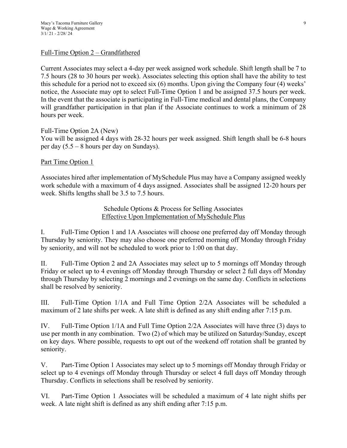#### Full-Time Option 2 – Grandfathered

Current Associates may select a 4-day per week assigned work schedule. Shift length shall be 7 to 7.5 hours (28 to 30 hours per week). Associates selecting this option shall have the ability to test this schedule for a period not to exceed six (6) months. Upon giving the Company four (4) weeks' notice, the Associate may opt to select Full-Time Option 1 and be assigned 37.5 hours per week. In the event that the associate is participating in Full-Time medical and dental plans, the Company will grandfather participation in that plan if the Associate continues to work a minimum of 28 hours per week.

Full-Time Option 2A (New) You will be assigned 4 days with 28-32 hours per week assigned. Shift length shall be 6-8 hours per day (5.5 – 8 hours per day on Sundays).

#### Part Time Option 1

Associates hired after implementation of MySchedule Plus may have a Company assigned weekly work schedule with a maximum of 4 days assigned. Associates shall be assigned 12-20 hours per week. Shifts lengths shall be 3.5 to 7.5 hours.

> Schedule Options & Process for Selling Associates Effective Upon Implementation of MySchedule Plus

I. Full-Time Option 1 and 1A Associates will choose one preferred day off Monday through Thursday by seniority. They may also choose one preferred morning off Monday through Friday by seniority, and will not be scheduled to work prior to 1:00 on that day.

II. Full-Time Option 2 and 2A Associates may select up to 5 mornings off Monday through Friday or select up to 4 evenings off Monday through Thursday or select 2 full days off Monday through Thursday by selecting 2 mornings and 2 evenings on the same day. Conflicts in selections shall be resolved by seniority.

III. Full-Time Option 1/1A and Full Time Option 2/2A Associates will be scheduled a maximum of 2 late shifts per week. A late shift is defined as any shift ending after 7:15 p.m.

IV. Full-Time Option 1/1A and Full Time Option 2/2A Associates will have three (3) days to use per month in any combination. Two (2) of which may be utilized on Saturday/Sunday, except on key days. Where possible, requests to opt out of the weekend off rotation shall be granted by seniority.

V. Part-Time Option 1 Associates may select up to 5 mornings off Monday through Friday or select up to 4 evenings off Monday through Thursday or select 4 full days off Monday through Thursday. Conflicts in selections shall be resolved by seniority.

VI. Part-Time Option 1 Associates will be scheduled a maximum of 4 late night shifts per week. A late night shift is defined as any shift ending after 7:15 p.m.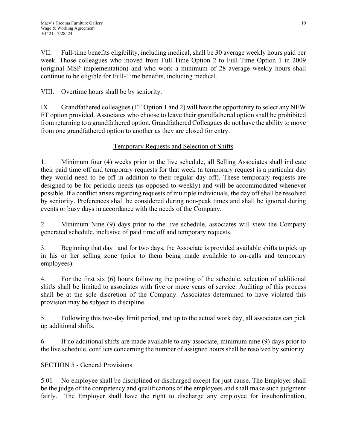VII. Full-time benefits eligibility, including medical, shall be 30 average weekly hours paid per week. Those colleagues who moved from Full-Time Option 2 to Full-Time Option 1 in 2009 (original MSP implementation) and who work a minimum of 28 average weekly hours shall continue to be eligible for Full-Time benefits, including medical.

VIII. Overtime hours shall be by seniority.

IX. Grandfathered colleagues (FT Option 1 and 2) will have the opportunity to select any NEW FT option provided. Associates who choose to leave their grandfathered option shall be prohibited from returning to a grandfathered option. Grandfathered Colleagues do not have the ability to move from one grandfathered option to another as they are closed for entry.

## Temporary Requests and Selection of Shifts

1. Minimum four (4) weeks prior to the live schedule, all Selling Associates shall indicate their paid time off and temporary requests for that week (a temporary request is a particular day they would need to be off in addition to their regular day off). These temporary requests are designed to be for periodic needs (as opposed to weekly) and will be accommodated whenever possible. If a conflict arises regarding requests of multiple individuals, the day off shall be resolved by seniority. Preferences shall be considered during non-peak times and shall be ignored during events or busy days in accordance with the needs of the Company.

2. Minimum Nine (9) days prior to the live schedule, associates will view the Company generated schedule, inclusive of paid time off and temporary requests.

3. Beginning that day and for two days, the Associate is provided available shifts to pick up in his or her selling zone (prior to them being made available to on-calls and temporary employees).

4. For the first six (6) hours following the posting of the schedule, selection of additional shifts shall be limited to associates with five or more years of service. Auditing of this process shall be at the sole discretion of the Company. Associates determined to have violated this provision may be subject to discipline.

5. Following this two-day limit period, and up to the actual work day, all associates can pick up additional shifts.

6. If no additional shifts are made available to any associate, minimum nine (9) days prior to the live schedule, conflicts concerning the number of assigned hours shall be resolved by seniority.

## SECTION 5 - General Provisions

5.01 No employee shall be disciplined or discharged except for just cause. The Employer shall be the judge of the competency and qualifications of the employees and shall make such judgment fairly. The Employer shall have the right to discharge any employee for insubordination,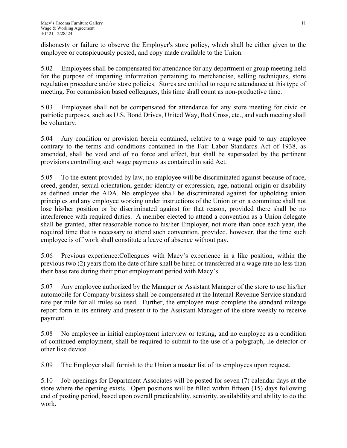dishonesty or failure to observe the Employer's store policy, which shall be either given to the employee or conspicuously posted, and copy made available to the Union.

5.02 Employees shall be compensated for attendance for any department or group meeting held for the purpose of imparting information pertaining to merchandise, selling techniques, store regulation procedure and/or store policies. Stores are entitled to require attendance at this type of meeting. For commission based colleagues, this time shall count as non-productive time.

5.03 Employees shall not be compensated for attendance for any store meeting for civic or patriotic purposes, such as U.S. Bond Drives, United Way, Red Cross, etc., and such meeting shall be voluntary.

5.04 Any condition or provision herein contained, relative to a wage paid to any employee contrary to the terms and conditions contained in the Fair Labor Standards Act of 1938, as amended, shall be void and of no force and effect, but shall be superseded by the pertinent provisions controlling such wage payments as contained in said Act.

5.05 To the extent provided by law, no employee will be discriminated against because of race, creed, gender, sexual orientation, gender identity or expression, age, national origin or disability as defined under the ADA. No employee shall be discriminated against for upholding union principles and any employee working under instructions of the Union or on a committee shall not lose his/her position or be discriminated against for that reason, provided there shall be no interference with required duties. A member elected to attend a convention as a Union delegate shall be granted, after reasonable notice to his/her Employer, not more than once each year, the required time that is necessary to attend such convention, provided, however, that the time such employee is off work shall constitute a leave of absence without pay.

5.06 Previous experience:Colleagues with Macy's experience in a like position, within the previous two (2) years from the date of hire shall be hired or transferred at a wage rate no less than their base rate during their prior employment period with Macy's.

5.07 Any employee authorized by the Manager or Assistant Manager of the store to use his/her automobile for Company business shall be compensated at the Internal Revenue Service standard rate per mile for all miles so used. Further, the employee must complete the standard mileage report form in its entirety and present it to the Assistant Manager of the store weekly to receive payment.

5.08 No employee in initial employment interview or testing, and no employee as a condition of continued employment, shall be required to submit to the use of a polygraph, lie detector or other like device.

5.09 The Employer shall furnish to the Union a master list of its employees upon request.

5.10 Job openings for Department Associates will be posted for seven (7) calendar days at the store where the opening exists. Open positions will be filled within fifteen (15) days following end of posting period, based upon overall practicability, seniority, availability and ability to do the work.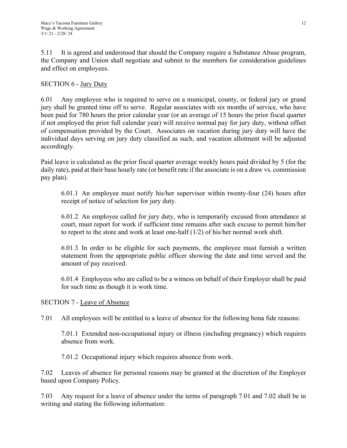5.11 It is agreed and understood that should the Company require a Substance Abuse program, the Company and Union shall negotiate and submit to the members for consideration guidelines and effect on employees.

## SECTION 6 - Jury Duty

6.01 Any employee who is required to serve on a municipal, county, or federal jury or grand jury shall be granted time off to serve. Regular associates with six months of service, who have been paid for 780 hours the prior calendar year (or an average of 15 hours the prior fiscal quarter if not employed the prior full calendar year) will receive normal pay for jury duty, without offset of compensation provided by the Court. Associates on vacation during jury duty will have the individual days serving on jury duty classified as such, and vacation allotment will be adjusted accordingly.

Paid leave is calculated as the prior fiscal quarter average weekly hours paid divided by 5 (for the daily rate), paid at their base hourly rate (or benefit rate if the associate is on a draw vs. commission pay plan).

6.01.1 An employee must notify his/her supervisor within twenty-four (24) hours after receipt of notice of selection for jury duty.

6.01.2 An employee called for jury duty, who is temporarily excused from attendance at court, must report for work if sufficient time remains after such excuse to permit him/her to report to the store and work at least one-half  $(1/2)$  of his/her normal work shift.

6.01.3 In order to be eligible for such payments, the employee must furnish a written statement from the appropriate public officer showing the date and time served and the amount of pay received.

6.01.4 Employees who are called to be a witness on behalf of their Employer shall be paid for such time as though it is work time.

## SECTION 7 - Leave of Absence

7.01 All employees will be entitled to a leave of absence for the following bona fide reasons:

7.01.1 Extended non-occupational injury or illness (including pregnancy) which requires absence from work.

7.01.2 Occupational injury which requires absence from work.

7.02 Leaves of absence for personal reasons may be granted at the discretion of the Employer based upon Company Policy.

7.03 Any request for a leave of absence under the terms of paragraph 7.01 and 7.02 shall be in writing and stating the following information: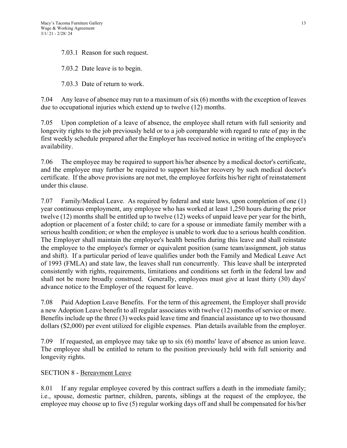7.03.1 Reason for such request.

7.03.2 Date leave is to begin.

7.03.3 Date of return to work.

7.04 Any leave of absence may run to a maximum of six (6) months with the exception of leaves due to occupational injuries which extend up to twelve (12) months.

7.05 Upon completion of a leave of absence, the employee shall return with full seniority and longevity rights to the job previously held or to a job comparable with regard to rate of pay in the first weekly schedule prepared after the Employer has received notice in writing of the employee's availability.

7.06 The employee may be required to support his/her absence by a medical doctor's certificate, and the employee may further be required to support his/her recovery by such medical doctor's certificate. If the above provisions are not met, the employee forfeits his/her right of reinstatement under this clause.

7.07 Family/Medical Leave. As required by federal and state laws, upon completion of one (1) year continuous employment, any employee who has worked at least 1,250 hours during the prior twelve (12) months shall be entitled up to twelve (12) weeks of unpaid leave per year for the birth, adoption or placement of a foster child; to care for a spouse or immediate family member with a serious health condition; or when the employee is unable to work due to a serious health condition. The Employer shall maintain the employee's health benefits during this leave and shall reinstate the employee to the employee's former or equivalent position (same team/assignment, job status and shift). If a particular period of leave qualifies under both the Family and Medical Leave Act of 1993 (FMLA) and state law, the leaves shall run concurrently. This leave shall be interpreted consistently with rights, requirements, limitations and conditions set forth in the federal law and shall not be more broadly construed. Generally, employees must give at least thirty (30) days' advance notice to the Employer of the request for leave.

7.08 Paid Adoption Leave Benefits. For the term of this agreement, the Employer shall provide a new Adoption Leave benefit to all regular associates with twelve (12) months of service or more. Benefits include up the three (3) weeks paid leave time and financial assistance up to two thousand dollars (\$2,000) per event utilized for eligible expenses. Plan details available from the employer.

7.09 If requested, an employee may take up to six (6) months' leave of absence as union leave. The employee shall be entitled to return to the position previously held with full seniority and longevity rights.

#### SECTION 8 - Bereavment Leave

8.01 If any regular employee covered by this contract suffers a death in the immediate family; i.e., spouse, domestic partner, children, parents, siblings at the request of the employee, the employee may choose up to five (5) regular working days off and shall be compensated for his/her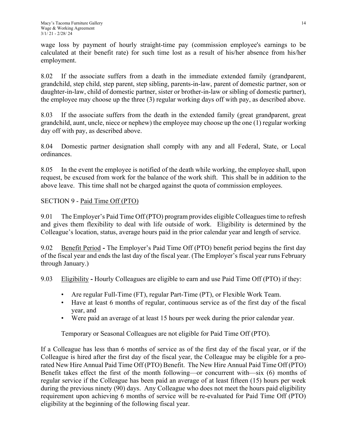wage loss by payment of hourly straight-time pay (commission employee's earnings to be calculated at their benefit rate) for such time lost as a result of his/her absence from his/her employment.

8.02 If the associate suffers from a death in the immediate extended family (grandparent, grandchild, step child, step parent, step sibling, parents-in-law, parent of domestic partner, son or daughter-in-law, child of domestic partner, sister or brother-in-law or sibling of domestic partner), the employee may choose up the three (3) regular working days off with pay, as described above.

8.03 If the associate suffers from the death in the extended family (great grandparent, great grandchild, aunt, uncle, niece or nephew) the employee may choose up the one (1) regular working day off with pay, as described above.

8.04 Domestic partner designation shall comply with any and all Federal, State, or Local ordinances.

8.05 In the event the employee is notified of the death while working, the employee shall, upon request, be excused from work for the balance of the work shift. This shall be in addition to the above leave. This time shall not be charged against the quota of commission employees.

## SECTION 9 - Paid Time Off (PTO)

9.01 The Employer's Paid Time Off (PTO) program provides eligible Colleagues time to refresh and gives them flexibility to deal with life outside of work. Eligibility is determined by the Colleague's location, status, average hours paid in the prior calendar year and length of service.

9.02 Benefit Period **-** The Employer's Paid Time Off (PTO) benefit period begins the first day of the fiscal year and ends the last day of the fiscal year. (The Employer's fiscal year runs February through January.)

9.03 Eligibility **-** Hourly Colleagues are eligible to earn and use Paid Time Off (PTO) if they:

- Are regular Full-Time (FT), regular Part-Time (PT), or Flexible Work Team.
- Have at least 6 months of regular, continuous service as of the first day of the fiscal year, and
- Were paid an average of at least 15 hours per week during the prior calendar year.

Temporary or Seasonal Colleagues are not eligible for Paid Time Off (PTO).

If a Colleague has less than 6 months of service as of the first day of the fiscal year, or if the Colleague is hired after the first day of the fiscal year, the Colleague may be eligible for a prorated New Hire Annual Paid Time Off (PTO) Benefit. The New Hire Annual Paid Time Off (PTO) Benefit takes effect the first of the month following—or concurrent with—six (6) months of regular service if the Colleague has been paid an average of at least fifteen (15) hours per week during the previous ninety (90) days. Any Colleague who does not meet the hours paid eligibility requirement upon achieving 6 months of service will be re-evaluated for Paid Time Off (PTO) eligibility at the beginning of the following fiscal year.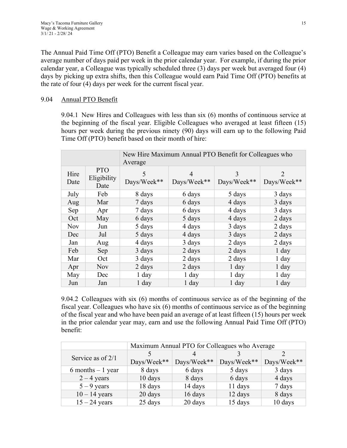The Annual Paid Time Off (PTO) Benefit a Colleague may earn varies based on the Colleague's average number of days paid per week in the prior calendar year. For example, if during the prior calendar year, a Colleague was typically scheduled three (3) days per week but averaged four (4) days by picking up extra shifts, then this Colleague would earn Paid Time Off (PTO) benefits at the rate of four (4) days per week for the current fiscal year.

## 9.04 Annual PTO Benefit

9.04.1 New Hires and Colleagues with less than six (6) months of continuous service at the beginning of the fiscal year. Eligible Colleagues who averaged at least fifteen (15) hours per week during the previous ninety (90) days will earn up to the following Paid Time Off (PTO) benefit based on their month of hire:

| New Hire Maximum Annual PTO Benefit for Colleagues who<br>Average |                                   |                  |                  |                  |                  |
|-------------------------------------------------------------------|-----------------------------------|------------------|------------------|------------------|------------------|
| Hire<br>Date                                                      | <b>PTO</b><br>Eligibility<br>Date | 5<br>Days/Week** | 4<br>Days/Week** | 3<br>Days/Week** | 2<br>Days/Week** |
| July                                                              | Feb                               | 8 days           | 6 days           | 5 days           | 3 days           |
| Aug                                                               | Mar                               | 7 days           | 6 days           | 4 days           | 3 days           |
| Sep                                                               | Apr                               | 7 days           | 6 days           | 4 days           | 3 days           |
| Oct                                                               | May                               | 6 days           | 5 days           | 4 days           | 2 days           |
| <b>Nov</b>                                                        | Jun                               | 5 days           | 4 days           | 3 days           | 2 days           |
| Dec                                                               | Jul                               | 5 days           | 4 days           | 3 days           | 2 days           |
| Jan                                                               | Aug                               | 4 days           | 3 days           | 2 days           | 2 days           |
| Feb                                                               | Sep                               | 3 days           | 2 days           | 2 days           | $1$ day          |
| Mar                                                               | Oct                               | 3 days           | 2 days           | 2 days           | $1$ day          |
| Apr                                                               | <b>Nov</b>                        | 2 days           | 2 days           | $1$ day          | $1$ day          |
| May                                                               | Dec                               | $1$ day          | $1$ day          | $1$ day          | $1$ day          |
| Jun                                                               | Jan                               | $1$ day          | 1 day            | $1$ day          | 1 day            |

9.04.2 Colleagues with six (6) months of continuous service as of the beginning of the fiscal year. Colleagues who have six (6) months of continuous service as of the beginning of the fiscal year and who have been paid an average of at least fifteen (15) hours per week in the prior calendar year may, earn and use the following Annual Paid Time Off (PTO) benefit:

|                      | Maximum Annual PTO for Colleagues who Average |             |             |             |  |  |
|----------------------|-----------------------------------------------|-------------|-------------|-------------|--|--|
|                      |                                               |             |             |             |  |  |
| Service as of 2/1    | Days/Week**                                   | Days/Week** | Days/Week** | Days/Week** |  |  |
| $6$ months $-1$ year | 8 days                                        | 6 days      | 5 days      | 3 days      |  |  |
| $2 - 4$ years        | 10 days                                       | 8 days      | 6 days      | 4 days      |  |  |
| $5 - 9$ years        | 18 days                                       | 14 days     | 11 days     | 7 days      |  |  |
| $10 - 14$ years      | 20 days                                       | 16 days     | 12 days     | 8 days      |  |  |
| $15 - 24$ years      | 25 days                                       | 20 days     | 15 days     | 10 days     |  |  |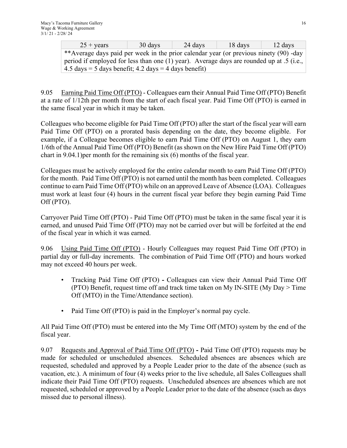| $25 + \text{years}$                                                                              | 30 days | $\sim$ 24 days | 18 days | 12 days |  |  |
|--------------------------------------------------------------------------------------------------|---------|----------------|---------|---------|--|--|
| **Average days paid per week in the prior calendar year (or previous ninety (90) -day            |         |                |         |         |  |  |
| period if employed for less than one (1) year). Average days are rounded up at .5 (i.e., $\vert$ |         |                |         |         |  |  |
| $4.5 \text{ days} = 5 \text{ days}$ benefit; $4.2 \text{ days} = 4 \text{ days}$ benefit)        |         |                |         |         |  |  |

9.05 Earning Paid Time Off (PTO) - Colleagues earn their Annual Paid Time Off (PTO) Benefit at a rate of 1/12th per month from the start of each fiscal year. Paid Time Off (PTO) is earned in the same fiscal year in which it may be taken.

Colleagues who become eligible for Paid Time Off (PTO) after the start of the fiscal year will earn Paid Time Off (PTO) on a prorated basis depending on the date, they become eligible. For example, if a Colleague becomes eligible to earn Paid Time Off (PTO) on August 1, they earn 1/6th of the Annual Paid Time Off (PTO) Benefit (as shown on the New Hire Paid Time Off (PTO) chart in 9.04.1)per month for the remaining six (6) months of the fiscal year.

Colleagues must be actively employed for the entire calendar month to earn Paid Time Off (PTO) for the month. Paid Time Off (PTO) is not earned until the month has been completed. Colleagues continue to earn Paid Time Off (PTO) while on an approved Leave of Absence (LOA). Colleagues must work at least four (4) hours in the current fiscal year before they begin earning Paid Time Off (PTO).

Carryover Paid Time Off (PTO) - Paid Time Off (PTO) must be taken in the same fiscal year it is earned, and unused Paid Time Off (PTO) may not be carried over but will be forfeited at the end of the fiscal year in which it was earned.

9.06 Using Paid Time Off (PTO) - Hourly Colleagues may request Paid Time Off (PTO) in partial day or full-day increments. The combination of Paid Time Off (PTO) and hours worked may not exceed 40 hours per week.

- Tracking Paid Time Off (PTO)Colleagues can view their Annual Paid Time Off (PTO) Benefit, request time off and track time taken on My IN-SITE (My  $Day > Time$ ) Off (MTO) in the Time/Attendance section).
- Paid Time Off (PTO) is paid in the Employer's normal pay cycle.

All Paid Time Off (PTO) must be entered into the My Time Off (MTO) system by the end of the fiscal year.

9.07 Requests and Approval of Paid Time Off (PTO) **-** Paid Time Off (PTO) requests may be made for scheduled or unscheduled absences. Scheduled absences are absences which are requested, scheduled and approved by a People Leader prior to the date of the absence (such as vacation, etc.). A minimum of four (4) weeks prior to the live schedule, all Sales Colleagues shall indicate their Paid Time Off (PTO) requests. Unscheduled absences are absences which are not requested, scheduled or approved by a People Leader prior to the date of the absence (such as days missed due to personal illness).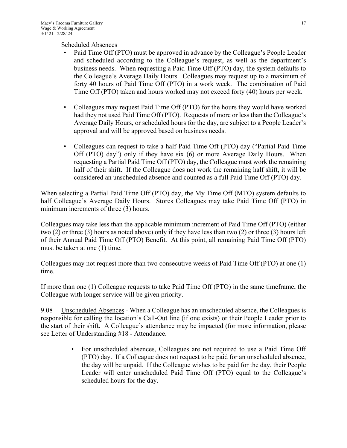Scheduled Absences

- Paid Time Off (PTO) must be approved in advance by the Colleague's People Leader and scheduled according to the Colleague's request, as well as the department's business needs. When requesting a Paid Time Off (PTO) day, the system defaults to the Colleague's Average Daily Hours. Colleagues may request up to a maximum of forty 40 hours of Paid Time Off (PTO) in a work week. The combination of Paid Time Off (PTO) taken and hours worked may not exceed forty (40) hours per week.
- Colleagues may request Paid Time Off (PTO) for the hours they would have worked had they not used Paid Time Off (PTO). Requests of more or less than the Colleague's Average Daily Hours, or scheduled hours for the day, are subject to a People Leader's approval and will be approved based on business needs.
- Colleagues can request to take a half-Paid Time Off (PTO) day ("Partial Paid Time Off (PTO) day") only if they have six (6) or more Average Daily Hours. When requesting a Partial Paid Time Off (PTO) day, the Colleague must work the remaining half of their shift. If the Colleague does not work the remaining half shift, it will be considered an unscheduled absence and counted as a full Paid Time Off (PTO) day.

When selecting a Partial Paid Time Off (PTO) day, the My Time Off (MTO) system defaults to half Colleague's Average Daily Hours. Stores Colleagues may take Paid Time Off (PTO) in minimum increments of three (3) hours.

Colleagues may take less than the applicable minimum increment of Paid Time Off (PTO) (either two (2) or three (3) hours as noted above) only if they have less than two (2) or three (3) hours left of their Annual Paid Time Off (PTO) Benefit. At this point, all remaining Paid Time Off (PTO) must be taken at one (1) time.

Colleagues may not request more than two consecutive weeks of Paid Time Off (PTO) at one (1) time.

If more than one (1) Colleague requests to take Paid Time Off (PTO) in the same timeframe, the Colleague with longer service will be given priority.

9.08 Unscheduled Absences - When a Colleague has an unscheduled absence, the Colleagues is responsible for calling the location's Call-Out line (if one exists) or their People Leader prior to the start of their shift. A Colleague's attendance may be impacted (for more information, please see Letter of Understanding #18 - Attendance.

> • For unscheduled absences, Colleagues are not required to use a Paid Time Off (PTO) day. If a Colleague does not request to be paid for an unscheduled absence, the day will be unpaid. If the Colleague wishes to be paid for the day, their People Leader will enter unscheduled Paid Time Off (PTO) equal to the Colleague's scheduled hours for the day.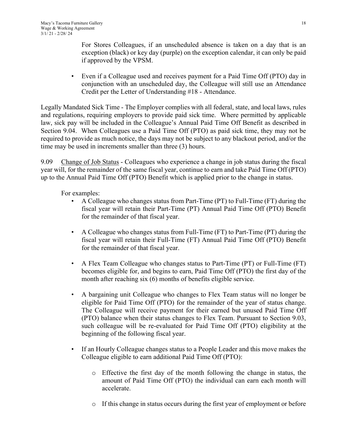For Stores Colleagues, if an unscheduled absence is taken on a day that is an exception (black) or key day (purple) on the exception calendar, it can only be paid if approved by the VPSM.

• Even if a Colleague used and receives payment for a Paid Time Off (PTO) day in conjunction with an unscheduled day, the Colleague will still use an Attendance Credit per the Letter of Understanding #18 - Attendance.

Legally Mandated Sick Time - The Employer complies with all federal, state, and local laws, rules and regulations, requiring employers to provide paid sick time. Where permitted by applicable law, sick pay will be included in the Colleague's Annual Paid Time Off Benefit as described in Section 9.04. When Colleagues use a Paid Time Off (PTO) as paid sick time, they may not be required to provide as much notice, the days may not be subject to any blackout period, and/or the time may be used in increments smaller than three (3) hours.

9.09 Change of Job Status - Colleagues who experience a change in job status during the fiscal year will, for the remainder of the same fiscal year, continue to earn and take Paid Time Off (PTO) up to the Annual Paid Time Off (PTO) Benefit which is applied prior to the change in status.

For examples:

- A Colleague who changes status from Part-Time (PT) to Full-Time (FT) during the fiscal year will retain their Part-Time (PT) Annual Paid Time Off (PTO) Benefit for the remainder of that fiscal year.
- A Colleague who changes status from Full-Time (FT) to Part-Time (PT) during the fiscal year will retain their Full-Time (FT) Annual Paid Time Off (PTO) Benefit for the remainder of that fiscal year.
- A Flex Team Colleague who changes status to Part-Time (PT) or Full-Time (FT) becomes eligible for, and begins to earn, Paid Time Off (PTO) the first day of the month after reaching six (6) months of benefits eligible service.
- A bargaining unit Colleague who changes to Flex Team status will no longer be eligible for Paid Time Off (PTO) for the remainder of the year of status change. The Colleague will receive payment for their earned but unused Paid Time Off (PTO) balance when their status changes to Flex Team. Pursuant to Section 9.03, such colleague will be re-evaluated for Paid Time Off (PTO) eligibility at the beginning of the following fiscal year.
- If an Hourly Colleague changes status to a People Leader and this move makes the Colleague eligible to earn additional Paid Time Off (PTO):
	- o Effective the first day of the month following the change in status, the amount of Paid Time Off (PTO) the individual can earn each month will accelerate.
	- o If this change in status occurs during the first year of employment or before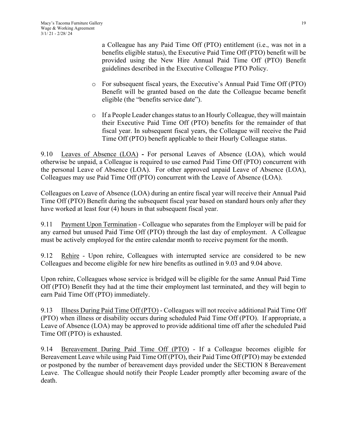a Colleague has any Paid Time Off (PTO) entitlement (i.e., was not in a benefits eligible status), the Executive Paid Time Off (PTO) benefit will be provided using the New Hire Annual Paid Time Off (PTO) Benefit guidelines described in the Executive Colleague PTO Policy.

- o For subsequent fiscal years, the Executive's Annual Paid Time Off (PTO) Benefit will be granted based on the date the Colleague became benefit eligible (the "benefits service date").
- o If a People Leader changes status to an Hourly Colleague, they will maintain their Executive Paid Time Off (PTO) benefits for the remainder of that fiscal year. In subsequent fiscal years, the Colleague will receive the Paid Time Off (PTO) benefit applicable to their Hourly Colleague status.

9.10 Leaves of Absence (LOA) **-** For personal Leaves of Absence (LOA), which would otherwise be unpaid, a Colleague is required to use earned Paid Time Off (PTO) concurrent with the personal Leave of Absence (LOA). For other approved unpaid Leave of Absence (LOA), Colleagues may use Paid Time Off (PTO) concurrent with the Leave of Absence (LOA).

Colleagues on Leave of Absence (LOA) during an entire fiscal year will receive their Annual Paid Time Off (PTO) Benefit during the subsequent fiscal year based on standard hours only after they have worked at least four (4) hours in that subsequent fiscal year.

9.11 Payment Upon Termination - Colleague who separates from the Employer will be paid for any earned but unused Paid Time Off (PTO) through the last day of employment. A Colleague must be actively employed for the entire calendar month to receive payment for the month.

9.12 Rehire - Upon rehire, Colleagues with interrupted service are considered to be new Colleagues and become eligible for new hire benefits as outlined in 9.03 and 9.04 above.

Upon rehire, Colleagues whose service is bridged will be eligible for the same Annual Paid Time Off (PTO) Benefit they had at the time their employment last terminated, and they will begin to earn Paid Time Off (PTO) immediately.

9.13 Illness During Paid Time Off (PTO) - Colleagues will not receive additional Paid Time Off (PTO) when illness or disability occurs during scheduled Paid Time Off (PTO). If appropriate, a Leave of Absence (LOA) may be approved to provide additional time off after the scheduled Paid Time Off (PTO) is exhausted.

9.14 Bereavement During Paid Time Off (PTO) - If a Colleague becomes eligible for Bereavement Leave while using Paid Time Off (PTO), their Paid Time Off (PTO) may be extended or postponed by the number of bereavement days provided under the SECTION 8 Bereavement Leave. The Colleague should notify their People Leader promptly after becoming aware of the death.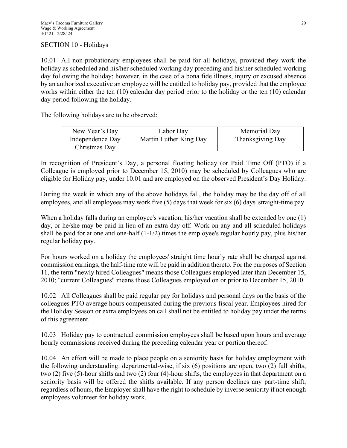## SECTION 10 - Holidays

10.01 All non-probationary employees shall be paid for all holidays, provided they work the holiday as scheduled and his/her scheduled working day preceding and his/her scheduled working day following the holiday; however, in the case of a bona fide illness, injury or excused absence by an authorized executive an employee will be entitled to holiday pay, provided that the employee works within either the ten (10) calendar day period prior to the holiday or the ten (10) calendar day period following the holiday.

The following holidays are to be observed:

| New Year's Dav   | Labor Dav              | Memorial Dav     |
|------------------|------------------------|------------------|
| Independence Dav | Martin Luther King Day | Thanksgiving Day |
| Christmas Dav    |                        |                  |

In recognition of President's Day, a personal floating holiday (or Paid Time Off (PTO) if a Colleague is employed prior to December 15, 2010) may be scheduled by Colleagues who are eligible for Holiday pay, under 10.01 and are employed on the observed President's Day Holiday.

During the week in which any of the above holidays fall, the holiday may be the day off of all employees, and all employees may work five (5) days that week for six (6) days' straight-time pay.

When a holiday falls during an employee's vacation, his/her vacation shall be extended by one (1) day, or he/she may be paid in lieu of an extra day off. Work on any and all scheduled holidays shall be paid for at one and one-half (1-1/2) times the employee's regular hourly pay, plus his/her regular holiday pay.

For hours worked on a holiday the employees' straight time hourly rate shall be charged against commission earnings, the half-time rate will be paid in addition thereto. For the purposes of Section 11, the term "newly hired Colleagues" means those Colleagues employed later than December 15, 2010; "current Colleagues" means those Colleagues employed on or prior to December 15, 2010.

10.02 All Colleagues shall be paid regular pay for holidays and personal days on the basis of the colleagues PTO average hours compensated during the previous fiscal year. Employees hired for the Holiday Season or extra employees on call shall not be entitled to holiday pay under the terms of this agreement.

10.03 Holiday pay to contractual commission employees shall be based upon hours and average hourly commissions received during the preceding calendar year or portion thereof.

10.04 An effort will be made to place people on a seniority basis for holiday employment with the following understanding: departmental-wise, if six (6) positions are open, two (2) full shifts, two (2) five (5)-hour shifts and two (2) four (4)-hour shifts, the employees in that department on a seniority basis will be offered the shifts available. If any person declines any part-time shift, regardless of hours, the Employer shall have the right to schedule by inverse seniority if not enough employees volunteer for holiday work.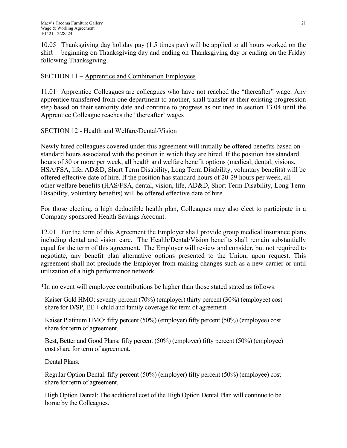10.05 Thanksgiving day holiday pay (1.5 times pay) will be applied to all hours worked on the shift beginning on Thanksgiving day and ending on Thanksgiving day or ending on the Friday following Thanksgiving.

## SECTION 11 – Apprentice and Combination Employees

11.01 Apprentice Colleagues are colleagues who have not reached the "thereafter" wage. Any apprentice transferred from one department to another, shall transfer at their existing progression step based on their seniority date and continue to progress as outlined in section 13.04 until the Apprentice Colleague reaches the "thereafter' wages

## SECTION 12 - Health and Welfare/Dental/Vision

Newly hired colleagues covered under this agreement will initially be offered benefits based on standard hours associated with the position in which they are hired. If the position has standard hours of 30 or more per week, all health and welfare benefit options (medical, dental, visions, HSA/FSA, life, AD&D, Short Term Disability, Long Term Disability, voluntary benefits) will be offered effective date of hire. If the position has standard hours of 20-29 hours per week, all other welfare benefits (HAS/FSA, dental, vision, life, AD&D, Short Term Disability, Long Term Disability, voluntary benefits) will be offered effective date of hire.

For those electing, a high deductible health plan, Colleagues may also elect to participate in a Company sponsored Health Savings Account.

12.01 For the term of this Agreement the Employer shall provide group medical insurance plans including dental and vision care. The Health/Dental/Vision benefits shall remain substantially equal for the term of this agreement. The Employer will review and consider, but not required to negotiate, any benefit plan alternative options presented to the Union, upon request. This agreement shall not preclude the Employer from making changes such as a new carrier or until utilization of a high performance network.

\*In no event will employee contributions be higher than those stated stated as follows:

Kaiser Gold HMO: seventy percent (70%) (employer) thirty percent (30%) (employee) cost share for  $D/SP$ ,  $EE + child$  and family coverage for term of agreement.

Kaiser Platinum HMO: fifty percent (50%) (employer) fifty percent (50%) (employee) cost share for term of agreement.

Best, Better and Good Plans: fifty percent (50%) (employer) fifty percent (50%) (employee) cost share for term of agreement.

Dental Plans:

Regular Option Dental: fifty percent (50%) (employer) fifty percent (50%) (employee) cost share for term of agreement.

High Option Dental: The additional cost of the High Option Dental Plan will continue to be borne by the Colleagues.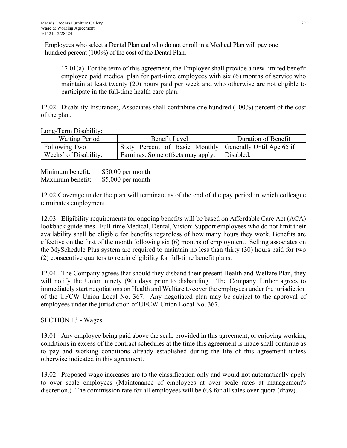Employees who select a Dental Plan and who do not enroll in a Medical Plan will pay one hundred percent (100%) of the cost of the Dental Plan.

12.01(a) For the term of this agreement, the Employer shall provide a new limited benefit employee paid medical plan for part-time employees with six (6) months of service who maintain at least twenty (20) hours paid per week and who otherwise are not eligible to participate in the full-time health care plan.

12.02 Disability Insurance:, Associates shall contribute one hundred (100%) percent of the cost of the plan.

Long-Term Disability:

| <b>Waiting Period</b> | Benefit Level                                            | Duration of Benefit |
|-----------------------|----------------------------------------------------------|---------------------|
| Following Two         | Sixty Percent of Basic Monthly Generally Until Age 65 if |                     |
| Weeks' of Disability. | Earnings. Some offsets may apply.   Disabled.            |                     |

Minimum benefit: \$50.00 per month Maximum benefit: \$5,000 per month

12.02 Coverage under the plan will terminate as of the end of the pay period in which colleague terminates employment.

12.03 Eligibility requirements for ongoing benefits will be based on Affordable Care Act (ACA) lookback guidelines. Full-time Medical, Dental, Vision: Support employees who do not limit their availability shall be eligible for benefits regardless of how many hours they work. Benefits are effective on the first of the month following six (6) months of employment. Selling associates on the MySchedule Plus system are required to maintain no less than thirty (30) hours paid for two (2) consecutive quarters to retain eligibility for full-time benefit plans.

12.04 The Company agrees that should they disband their present Health and Welfare Plan, they will notify the Union ninety (90) days prior to disbanding. The Company further agrees to immediately start negotiations on Health and Welfare to cover the employees under the jurisdiction of the UFCW Union Local No. 367. Any negotiated plan may be subject to the approval of employees under the jurisdiction of UFCW Union Local No. 367.

## SECTION 13 - Wages

13.01 Any employee being paid above the scale provided in this agreement, or enjoying working conditions in excess of the contract schedules at the time this agreement is made shall continue as to pay and working conditions already established during the life of this agreement unless otherwise indicated in this agreement.

13.02 Proposed wage increases are to the classification only and would not automatically apply to over scale employees (Maintenance of employees at over scale rates at management's discretion.) The commission rate for all employees will be 6% for all sales over quota (draw).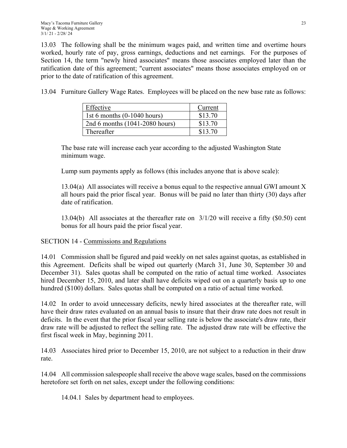13.03 The following shall be the minimum wages paid, and written time and overtime hours worked, hourly rate of pay, gross earnings, deductions and net earnings. For the purposes of Section 14, the term "newly hired associates" means those associates employed later than the ratification date of this agreement; "current associates" means those associates employed on or prior to the date of ratification of this agreement.

13.04 Furniture Gallery Wage Rates. Employees will be placed on the new base rate as follows:

| Effective                      | Current |
|--------------------------------|---------|
| 1st 6 months $(0-1040$ hours)  | \$13.70 |
| 2nd 6 months (1041-2080 hours) | \$13.70 |
| Thereafter                     | \$13.70 |

The base rate will increase each year according to the adjusted Washington State minimum wage.

Lump sum payments apply as follows (this includes anyone that is above scale):

13.04(a) All associates will receive a bonus equal to the respective annual GWI amount X all hours paid the prior fiscal year. Bonus will be paid no later than thirty (30) days after date of ratification.

13.04(b) All associates at the thereafter rate on 3/1/20 will receive a fifty (\$0.50) cent bonus for all hours paid the prior fiscal year.

## SECTION 14 - Commissions and Regulations

14.01 Commission shall be figured and paid weekly on net sales against quotas, as established in this Agreement. Deficits shall be wiped out quarterly (March 31, June 30, September 30 and December 31). Sales quotas shall be computed on the ratio of actual time worked. Associates hired December 15, 2010, and later shall have deficits wiped out on a quarterly basis up to one hundred (\$100) dollars. Sales quotas shall be computed on a ratio of actual time worked.

14.02 In order to avoid unnecessary deficits, newly hired associates at the thereafter rate, will have their draw rates evaluated on an annual basis to insure that their draw rate does not result in deficits. In the event that the prior fiscal year selling rate is below the associate's draw rate, their draw rate will be adjusted to reflect the selling rate. The adjusted draw rate will be effective the first fiscal week in May, beginning 2011.

14.03 Associates hired prior to December 15, 2010, are not subject to a reduction in their draw rate.

14.04 All commission salespeople shall receive the above wage scales, based on the commissions heretofore set forth on net sales, except under the following conditions:

14.04.1 Sales by department head to employees.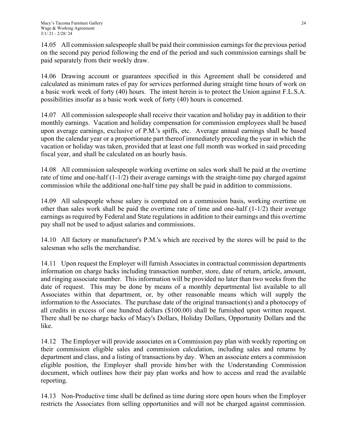14.05 All commission salespeople shall be paid their commission earnings for the previous period on the second pay period following the end of the period and such commission earnings shall be paid separately from their weekly draw.

14.06 Drawing account or guarantees specified in this Agreement shall be considered and calculated as minimum rates of pay for services performed during straight time hours of work on a basic work week of forty (40) hours. The intent herein is to protect the Union against F.L.S.A. possibilities insofar as a basic work week of forty (40) hours is concerned.

14.07 All commission salespeople shall receive their vacation and holiday pay in addition to their monthly earnings. Vacation and holiday compensation for commission employees shall be based upon average earnings, exclusive of P.M.'s spiffs, etc. Average annual earnings shall be based upon the calendar year or a proportionate part thereof immediately preceding the year in which the vacation or holiday was taken, provided that at least one full month was worked in said preceding fiscal year, and shall be calculated on an hourly basis.

14.08 All commission salespeople working overtime on sales work shall be paid at the overtime rate of time and one-half (1-1/2) their average earnings with the straight-time pay charged against commission while the additional one-half time pay shall be paid in addition to commissions.

14.09 All salespeople whose salary is computed on a commission basis, working overtime on other than sales work shall be paid the overtime rate of time and one-half  $(1-1/2)$  their average earnings as required by Federal and State regulations in addition to their earnings and this overtime pay shall not be used to adjust salaries and commissions.

14.10 All factory or manufacturer's P.M.'s which are received by the stores will be paid to the salesman who sells the merchandise.

14.11 Upon request the Employer will furnish Associates in contractual commission departments information on charge backs including transaction number, store, date of return, article, amount, and ringing associate number. This information will be provided no later than two weeks from the date of request. This may be done by means of a monthly departmental list available to all Associates within that department, or, by other reasonable means which will supply the information to the Associates. The purchase date of the original transaction(s) and a photocopy of all credits in excess of one hundred dollars (\$100.00) shall be furnished upon written request. There shall be no charge backs of Macy's Dollars, Holiday Dollars, Opportunity Dollars and the like.

14.12 The Employer will provide associates on a Commission pay plan with weekly reporting on their commission eligible sales and commission calculation, including sales and returns by department and class, and a listing of transactions by day. When an associate enters a commission eligible position, the Employer shall provide him/her with the Understanding Commission document, which outlines how their pay plan works and how to access and read the available reporting.

14.13 Non-Productive time shall be defined as time during store open hours when the Employer restricts the Associates from selling opportunities and will not be charged against commission.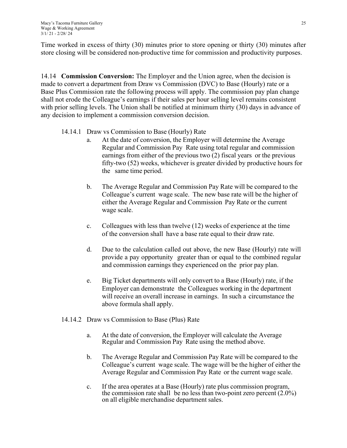Time worked in excess of thirty (30) minutes prior to store opening or thirty (30) minutes after store closing will be considered non-productive time for commission and productivity purposes.

14.14 **Commission Conversion:** The Employer and the Union agree, when the decision is made to convert a department from Draw vs Commission (DVC) to Base (Hourly) rate or a Base Plus Commission rate the following process will apply. The commission pay plan change shall not erode the Colleague's earnings if their sales per hour selling level remains consistent with prior selling levels. The Union shall be notified at minimum thirty (30) days in advance of any decision to implement a commission conversion decision.

#### 14.14.1 Draw vs Commission to Base (Hourly) Rate

- a. At the date of conversion, the Employer will determine the Average Regular and Commission Pay Rate using total regular and commission earnings from either of the previous two (2) fiscal years or the previous fifty-two (52) weeks, whichever is greater divided by productive hours for the same time period.
- b. The Average Regular and Commission Pay Rate will be compared to the Colleague's current wage scale. The new base rate will be the higher of either the Average Regular and Commission Pay Rate or the current wage scale.
- c. Colleagues with less than twelve (12) weeks of experience at the time of the conversion shall have a base rate equal to their draw rate.
- d. Due to the calculation called out above, the new Base (Hourly) rate will provide a pay opportunity greater than or equal to the combined regular and commission earnings they experienced on the prior pay plan.
- e. Big Ticket departments will only convert to a Base (Hourly) rate, if the Employer can demonstrate the Colleagues working in the department will receive an overall increase in earnings. In such a circumstance the above formula shall apply.
- 14.14.2 Draw vs Commission to Base (Plus) Rate
	- a. At the date of conversion, the Employer will calculate the Average Regular and Commission Pay Rate using the method above.
	- b. The Average Regular and Commission Pay Rate will be compared to the Colleague's current wage scale. The wage will be the higher of either the Average Regular and Commission Pay Rate or the current wage scale.
	- c. If the area operates at a Base (Hourly) rate plus commission program, the commission rate shall be no less than two-point zero percent  $(2.0\%)$ on all eligible merchandise department sales.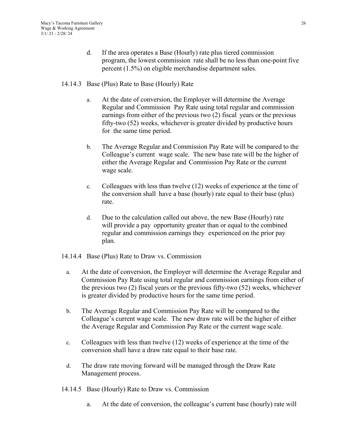- d. If the area operates a Base (Hourly) rate plus tiered commission program, the lowest commission rate shall be no less than one-point five percent (1.5%) on eligible merchandise department sales.
- 14.14.3 Base (Plus) Rate to Base (Hourly) Rate
	- a. At the date of conversion, the Employer will determine the Average Regular and Commission Pay Rate using total regular and commission earnings from either of the previous two (2) fiscal years or the previous fifty-two (52) weeks, whichever is greater divided by productive hours for the same time period.
	- b. The Average Regular and Commission Pay Rate will be compared to the Colleague's current wage scale. The new base rate will be the higher of either the Average Regular and Commission Pay Rate or the current wage scale.
	- c. Colleagues with less than twelve (12) weeks of experience at the time of the conversion shall have a base (hourly) rate equal to their base (plus) rate.
	- d. Due to the calculation called out above, the new Base (Hourly) rate will provide a pay opportunity greater than or equal to the combined regular and commission earnings they experienced on the prior pay plan.
- 14.14.4 Base (Plus) Rate to Draw vs. Commission
	- a. At the date of conversion, the Employer will determine the Average Regular and Commission Pay Rate using total regular and commission earnings from either of the previous two (2) fiscal years or the previous fifty-two (52) weeks, whichever is greater divided by productive hours for the same time period.
	- b. The Average Regular and Commission Pay Rate will be compared to the Colleague's current wage scale. The new draw rate will be the higher of either the Average Regular and Commission Pay Rate or the current wage scale.
	- c. Colleagues with less than twelve (12) weeks of experience at the time of the conversion shall have a draw rate equal to their base rate.
	- d. The draw rate moving forward will be managed through the Draw Rate Management process.
- 14.14.5 Base (Hourly) Rate to Draw vs. Commission
	- a. At the date of conversion, the colleague's current base (hourly) rate will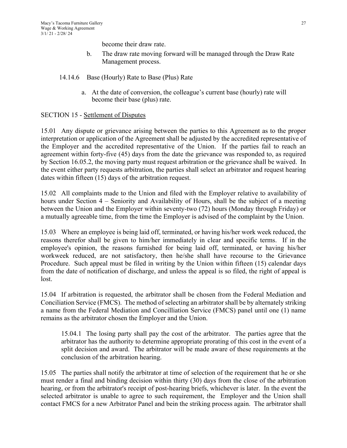become their draw rate.

- b. The draw rate moving forward will be managed through the Draw Rate Management process.
- 14.14.6 Base (Hourly) Rate to Base (Plus) Rate
	- a. At the date of conversion, the colleague's current base (hourly) rate will become their base (plus) rate.

## SECTION 15 - Settlement of Disputes

15.01 Any dispute or grievance arising between the parties to this Agreement as to the proper interpretation or application of the Agreement shall be adjusted by the accredited representative of the Employer and the accredited representative of the Union. If the parties fail to reach an agreement within forty-five (45) days from the date the grievance was responded to, as required by Section 16.05.2, the moving party must request arbitration or the grievance shall be waived. In the event either party requests arbitration, the parties shall select an arbitrator and request hearing dates within fifteen (15) days of the arbitration request.

15.02 All complaints made to the Union and filed with the Employer relative to availability of hours under Section 4 – Seniority and Availability of Hours, shall be the subject of a meeting between the Union and the Employer within seventy-two (72) hours (Monday through Friday) or a mutually agreeable time, from the time the Employer is advised of the complaint by the Union.

15.03 Where an employee is being laid off, terminated, or having his/her work week reduced, the reasons therefor shall be given to him/her immediately in clear and specific terms. If in the employee's opinion, the reasons furnished for being laid off, terminated, or having his/her workweek reduced, are not satisfactory, then he/she shall have recourse to the Grievance Procedure. Such appeal must be filed in writing by the Union within fifteen (15) calendar days from the date of notification of discharge, and unless the appeal is so filed, the right of appeal is lost.

15.04 If arbitration is requested, the arbitrator shall be chosen from the Federal Mediation and Conciliation Service (FMCS). The method of selecting an arbitrator shall be by alternately striking a name from the Federal Mediation and Concilliation Service (FMCS) panel until one (1) name remains as the arbitrator chosen the Employer and the Union.

15.04.1 The losing party shall pay the cost of the arbitrator. The parties agree that the arbitrator has the authority to determine appropriate prorating of this cost in the event of a split decision and award. The arbitrator will be made aware of these requirements at the conclusion of the arbitration hearing.

15.05 The parties shall notify the arbitrator at time of selection of the requirement that he or she must render a final and binding decision within thirty (30) days from the close of the arbitration hearing, or from the arbitrator's receipt of post-hearing briefs, whichever is later. In the event the selected arbitrator is unable to agree to such requirement, the Employer and the Union shall contact FMCS for a new Arbitrator Panel and bein the striking process again. The arbitrator shall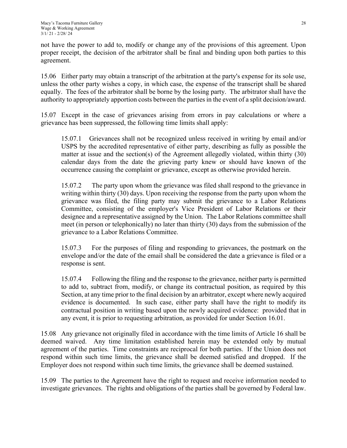not have the power to add to, modify or change any of the provisions of this agreement. Upon proper receipt, the decision of the arbitrator shall be final and binding upon both parties to this agreement.

15.06 Either party may obtain a transcript of the arbitration at the party's expense for its sole use, unless the other party wishes a copy, in which case, the expense of the transcript shall be shared equally. The fees of the arbitrator shall be borne by the losing party. The arbitrator shall have the authority to appropriately apportion costs between the parties in the event of a split decision/award.

15.07 Except in the case of grievances arising from errors in pay calculations or where a grievance has been suppressed, the following time limits shall apply:

15.07.1 Grievances shall not be recognized unless received in writing by email and/or USPS by the accredited representative of either party, describing as fully as possible the matter at issue and the section(s) of the Agreement allegedly violated, within thirty (30) calendar days from the date the grieving party knew or should have known of the occurrence causing the complaint or grievance, except as otherwise provided herein.

15.07.2 The party upon whom the grievance was filed shall respond to the grievance in writing within thirty (30) days. Upon receiving the response from the party upon whom the grievance was filed, the filing party may submit the grievance to a Labor Relations Committee, consisting of the employer's Vice President of Labor Relations or their designee and a representative assigned by the Union. The Labor Relations committee shall meet (in person or telephonically) no later than thirty (30) days from the submission of the grievance to a Labor Relations Committee.

15.07.3 For the purposes of filing and responding to grievances, the postmark on the envelope and/or the date of the email shall be considered the date a grievance is filed or a response is sent.

15.07.4 Following the filing and the response to the grievance, neither party is permitted to add to, subtract from, modify, or change its contractual position, as required by this Section, at any time prior to the final decision by an arbitrator, except where newly acquired evidence is documented. In such case, either party shall have the right to modify its contractual position in writing based upon the newly acquired evidence: provided that in any event, it is prior to requesting arbitration, as provided for under Section 16.01.

15.08 Any grievance not originally filed in accordance with the time limits of Article 16 shall be deemed waived. Any time limitation established herein may be extended only by mutual agreement of the parties. Time constraints are reciprocal for both parties. If the Union does not respond within such time limits, the grievance shall be deemed satisfied and dropped. If the Employer does not respond within such time limits, the grievance shall be deemed sustained.

15.09 The parties to the Agreement have the right to request and receive information needed to investigate grievances. The rights and obligations of the parties shall be governed by Federal law.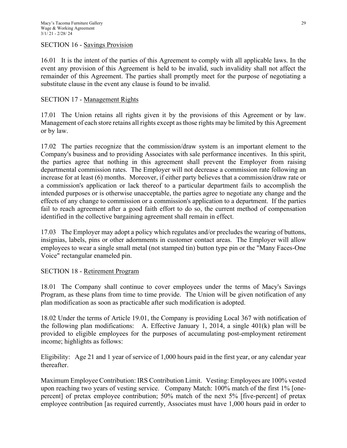#### SECTION 16 - Savings Provision

16.01 It is the intent of the parties of this Agreement to comply with all applicable laws. In the event any provision of this Agreement is held to be invalid, such invalidity shall not affect the remainder of this Agreement. The parties shall promptly meet for the purpose of negotiating a substitute clause in the event any clause is found to be invalid.

## SECTION 17 - Management Rights

17.01 The Union retains all rights given it by the provisions of this Agreement or by law. Management of each store retains all rights except as those rights may be limited by this Agreement or by law.

17.02 The parties recognize that the commission/draw system is an important element to the Company's business and to providing Associates with sale performance incentives. In this spirit, the parties agree that nothing in this agreement shall prevent the Employer from raising departmental commission rates. The Employer will not decrease a commission rate following an increase for at least (6) months. Moreover, if either party believes that a commission/draw rate or a commission's application or lack thereof to a particular department fails to accomplish the intended purposes or is otherwise unacceptable, the parties agree to negotiate any change and the effects of any change to commission or a commission's application to a department. If the parties fail to reach agreement after a good faith effort to do so, the current method of compensation identified in the collective bargaining agreement shall remain in effect.

17.03 The Employer may adopt a policy which regulates and/or precludes the wearing of buttons, insignias, labels, pins or other adornments in customer contact areas. The Employer will allow employees to wear a single small metal (not stamped tin) button type pin or the "Many Faces-One Voice" rectangular enameled pin.

#### SECTION 18 - Retirement Program

18.01 The Company shall continue to cover employees under the terms of Macy's Savings Program, as these plans from time to time provide. The Union will be given notification of any plan modification as soon as practicable after such modification is adopted.

18.02 Under the terms of Article 19.01, the Company is providing Local 367 with notification of the following plan modifications: A. Effective January 1, 2014, a single 401(k) plan will be provided to eligible employees for the purposes of accumulating post-employment retirement income; highlights as follows:

Eligibility: Age 21 and 1 year of service of 1,000 hours paid in the first year, or any calendar year thereafter.

Maximum Employee Contribution: IRS Contribution Limit. Vesting: Employees are 100% vested upon reaching two years of vesting service. Company Match: 100% match of the first 1% [onepercent] of pretax employee contribution; 50% match of the next 5% [five-percent] of pretax employee contribution [as required currently, Associates must have 1,000 hours paid in order to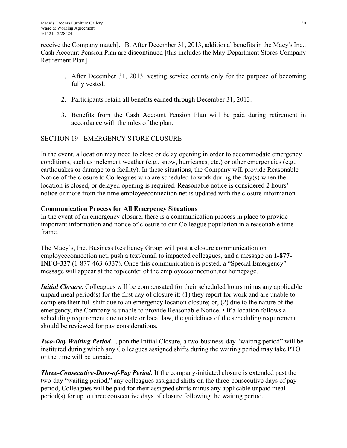receive the Company match]. B. After December 31, 2013, additional benefits in the Macy's Inc., Cash Account Pension Plan are discontinued [this includes the May Department Stores Company Retirement Plan].

- 1. After December 31, 2013, vesting service counts only for the purpose of becoming fully vested.
- 2. Participants retain all benefits earned through December 31, 2013.
- 3. Benefits from the Cash Account Pension Plan will be paid during retirement in accordance with the rules of the plan.

## SECTION 19 - EMERGENCY STORE CLOSURE

In the event, a location may need to close or delay opening in order to accommodate emergency conditions, such as inclement weather (e.g., snow, hurricanes, etc.) or other emergencies (e.g., earthquakes or damage to a facility). In these situations, the Company will provide Reasonable Notice of the closure to Colleagues who are scheduled to work during the day(s) when the location is closed, or delayed opening is required. Reasonable notice is considered 2 hours' notice or more from the time employeeconnection.net is updated with the closure information.

## **Communication Process for All Emergency Situations**

In the event of an emergency closure, there is a communication process in place to provide important information and notice of closure to our Colleague population in a reasonable time frame.

The Macy's, Inc. Business Resiliency Group will post a closure communication on employeeconnection.net, push a text/email to impacted colleagues, and a message on **1-877- INFO-337** (1-877-463-6337). Once this communication is posted, a "Special Emergency" message will appear at the top/center of the employeeconnection.net homepage.

*Initial Closure.* Colleagues will be compensated for their scheduled hours minus any applicable unpaid meal period(s) for the first day of closure if:  $(1)$  they report for work and are unable to complete their full shift due to an emergency location closure; or, (2) due to the nature of the emergency, the Company is unable to provide Reasonable Notice. • If a location follows a scheduling requirement due to state or local law, the guidelines of the scheduling requirement should be reviewed for pay considerations.

*Two-Day Waiting Period.* Upon the Initial Closure, a two-business-day "waiting period" will be instituted during which any Colleagues assigned shifts during the waiting period may take PTO or the time will be unpaid.

*Three-Consecutive-Days-of-Pay Period.* If the company-initiated closure is extended past the two-day "waiting period," any colleagues assigned shifts on the three-consecutive days of pay period, Colleagues will be paid for their assigned shifts minus any applicable unpaid meal  $period(s)$  for up to three consecutive days of closure following the waiting period.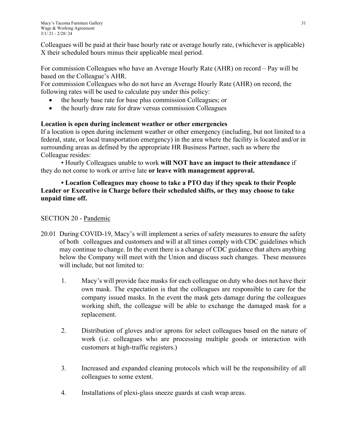Colleagues will be paid at their base hourly rate or average hourly rate, (whichever is applicable) X their scheduled hours minus their applicable meal period.

For commission Colleagues who have an Average Hourly Rate (AHR) on record – Pay will be based on the Colleague's AHR.

For commission Colleagues who do not have an Average Hourly Rate (AHR) on record, the following rates will be used to calculate pay under this policy:

- the hourly base rate for base plus commission Colleagues; or
- the hourly draw rate for draw versus commission Colleagues

## **Location is open during inclement weather or other emergencies**

If a location is open during inclement weather or other emergency (including, but not limited to a federal, state, or local transportation emergency) in the area where the facility is located and/or in surrounding areas as defined by the appropriate HR Business Partner, such as where the Colleague resides:

• Hourly Colleagues unable to work **will NOT have an impact to their attendance** if they do not come to work or arrive late **or leave with management approval.** 

## **• Location Colleagues may choose to take a PTO day if they speak to their People Leader or Executive in Charge before their scheduled shifts, or they may choose to take unpaid time off.**

## SECTION 20 - Pandemic

- 20.01 During COVID-19, Macy's will implement a series of safety measures to ensure the safety of both colleagues and customers and will at all times comply with CDC guidelines which may continue to change. In the event there is a change of CDC guidance that alters anything below the Company will meet with the Union and discuss such changes. These measures will include, but not limited to:
	- 1. Macy's will provide face masks for each colleague on duty who does not have their own mask. The expectation is that the colleagues are responsible to care for the company issued masks. In the event the mask gets damage during the colleagues working shift, the colleague will be able to exchange the damaged mask for a replacement.
	- 2. Distribution of gloves and/or aprons for select colleagues based on the nature of work (i.e. colleagues who are processing multiple goods or interaction with customers at high-traffic registers.)
	- 3. Increased and expanded cleaning protocols which will be the responsibility of all colleagues to some extent.
	- 4. Installations of plexi-glass sneeze guards at cash wrap areas.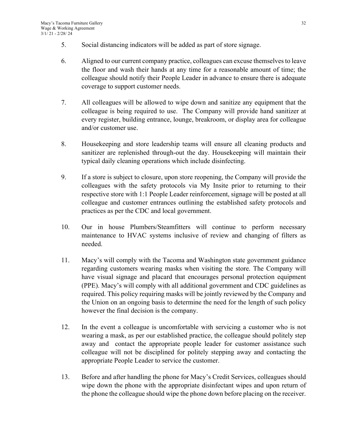- 5. Social distancing indicators will be added as part of store signage.
- 6. Aligned to our current company practice, colleagues can excuse themselves to leave the floor and wash their hands at any time for a reasonable amount of time; the colleague should notify their People Leader in advance to ensure there is adequate coverage to support customer needs.
- 7. All colleagues will be allowed to wipe down and sanitize any equipment that the colleague is being required to use. The Company will provide hand sanitizer at every register, building entrance, lounge, breakroom, or display area for colleague and/or customer use.
- 8. Housekeeping and store leadership teams will ensure all cleaning products and sanitizer are replenished through-out the day. Housekeeping will maintain their typical daily cleaning operations which include disinfecting.
- 9. If a store is subject to closure, upon store reopening, the Company will provide the colleagues with the safety protocols via My Insite prior to returning to their respective store with 1:1 People Leader reinforcement, signage will be posted at all colleague and customer entrances outlining the established safety protocols and practices as per the CDC and local government.
- 10. Our in house Plumbers/Steamfitters will continue to perform necessary maintenance to HVAC systems inclusive of review and changing of filters as needed.
- 11. Macy's will comply with the Tacoma and Washington state government guidance regarding customers wearing masks when visiting the store. The Company will have visual signage and placard that encourages personal protection equipment (PPE). Macy's will comply with all additional government and CDC guidelines as required. This policy requiring masks will be jointly reviewed by the Company and the Union on an ongoing basis to determine the need for the length of such policy however the final decision is the company.
- 12. In the event a colleague is uncomfortable with servicing a customer who is not wearing a mask, as per our established practice, the colleague should politely step away and contact the appropriate people leader for customer assistance such colleague will not be disciplined for politely stepping away and contacting the appropriate People Leader to service the customer.
- 13. Before and after handling the phone for Macy's Credit Services, colleagues should wipe down the phone with the appropriate disinfectant wipes and upon return of the phone the colleague should wipe the phone down before placing on the receiver.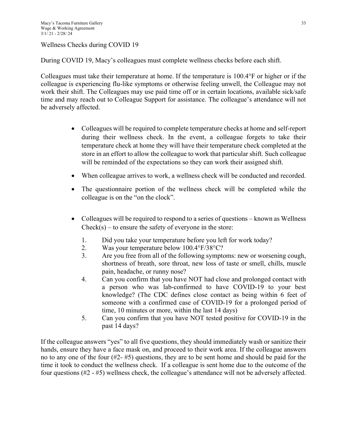Wellness Checks during COVID 19

During COVID 19, Macy's colleagues must complete wellness checks before each shift.

Colleagues must take their temperature at home. If the temperature is 100.4°F or higher or if the colleague is experiencing flu-like symptoms or otherwise feeling unwell, the Colleague may not work their shift. The Colleagues may use paid time off or in certain locations, available sick/safe time and may reach out to Colleague Support for assistance. The colleague's attendance will not be adversely affected.

- Colleagues will be required to complete temperature checks at home and self-report during their wellness check. In the event, a colleague forgets to take their temperature check at home they will have their temperature check completed at the store in an effort to allow the colleague to work that particular shift. Such colleague will be reminded of the expectations so they can work their assigned shift.
- When colleague arrives to work, a wellness check will be conducted and recorded.
- The questionnaire portion of the wellness check will be completed while the colleague is on the "on the clock".
- Colleagues will be required to respond to a series of questions known as Wellness  $Check(s) - to ensure the safety of everyone in the store:$ 
	- 1. Did you take your temperature before you left for work today?
	- 2. Was your temperature below 100.4°F/38°C?
	- 3. Are you free from all of the following symptoms: new or worsening cough, shortness of breath, sore throat, new loss of taste or smell, chills, muscle pain, headache, or runny nose?
	- 4. Can you confirm that you have NOT had close and prolonged contact with a person who was lab-confirmed to have COVID-19 to your best knowledge? (The CDC defines close contact as being within 6 feet of someone with a confirmed case of COVID-19 for a prolonged period of time, 10 minutes or more, within the last 14 days)
	- 5. Can you confirm that you have NOT tested positive for COVID-19 in the past 14 days?

If the colleague answers "yes" to all five questions, they should immediately wash or sanitize their hands, ensure they have a face mask on, and proceed to their work area. If the colleague answers no to any one of the four (#2- #5) questions, they are to be sent home and should be paid for the time it took to conduct the wellness check. If a colleague is sent home due to the outcome of the four questions (#2 - #5) wellness check, the colleague's attendance will not be adversely affected.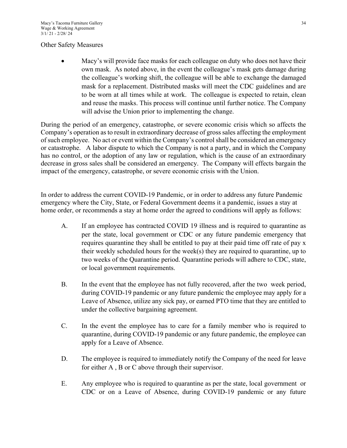#### Other Safety Measures

 Macy's will provide face masks for each colleague on duty who does not have their own mask. As noted above, in the event the colleague's mask gets damage during the colleague's working shift, the colleague will be able to exchange the damaged mask for a replacement. Distributed masks will meet the CDC guidelines and are to be worn at all times while at work. The colleague is expected to retain, clean and reuse the masks. This process will continue until further notice. The Company will advise the Union prior to implementing the change.

During the period of an emergency, catastrophe, or severe economic crisis which so affects the Company's operation as to result in extraordinary decrease of gross sales affecting the employment of such employee. No act or event within the Company's control shall be considered an emergency or catastrophe. A labor dispute to which the Company is not a party, and in which the Company has no control, or the adoption of any law or regulation, which is the cause of an extraordinary decrease in gross sales shall be considered an emergency. The Company will effects bargain the impact of the emergency, catastrophe, or severe economic crisis with the Union.

In order to address the current COVID-19 Pandemic, or in order to address any future Pandemic emergency where the City, State, or Federal Government deems it a pandemic, issues a stay at home order, or recommends a stay at home order the agreed to conditions will apply as follows:

- A. If an employee has contracted COVID 19 illness and is required to quarantine as per the state, local government or CDC or any future pandemic emergency that requires quarantine they shall be entitled to pay at their paid time off rate of pay x their weekly scheduled hours for the week(s) they are required to quarantine, up to two weeks of the Quarantine period. Quarantine periods will adhere to CDC, state, or local government requirements.
- B. In the event that the employee has not fully recovered, after the two week period, during COVID-19 pandemic or any future pandemic the employee may apply for a Leave of Absence, utilize any sick pay, or earned PTO time that they are entitled to under the collective bargaining agreement.
- C. In the event the employee has to care for a family member who is required to quarantine, during COVID-19 pandemic or any future pandemic, the employee can apply for a Leave of Absence.
- D. The employee is required to immediately notify the Company of the need for leave for either A , B or C above through their supervisor.
- E. Any employee who is required to quarantine as per the state, local government or CDC or on a Leave of Absence, during COVID-19 pandemic or any future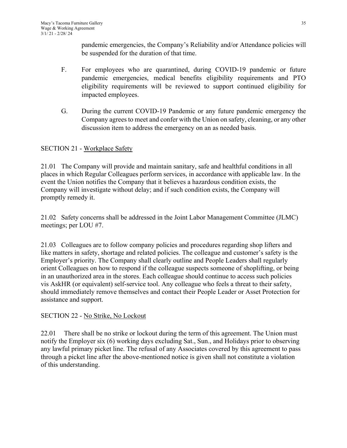pandemic emergencies, the Company's Reliability and/or Attendance policies will be suspended for the duration of that time.

- F. For employees who are quarantined, during COVID-19 pandemic or future pandemic emergencies, medical benefits eligibility requirements and PTO eligibility requirements will be reviewed to support continued eligibility for impacted employees.
- G. During the current COVID-19 Pandemic or any future pandemic emergency the Company agrees to meet and confer with the Union on safety, cleaning, or any other discussion item to address the emergency on an as needed basis.

## SECTION 21 - Workplace Safety

21.01 The Company will provide and maintain sanitary, safe and healthful conditions in all places in which Regular Colleagues perform services, in accordance with applicable law. In the event the Union notifies the Company that it believes a hazardous condition exists, the Company will investigate without delay; and if such condition exists, the Company will promptly remedy it.

21.02 Safety concerns shall be addressed in the Joint Labor Management Committee (JLMC) meetings; per LOU #7.

21.03 Colleagues are to follow company policies and procedures regarding shop lifters and like matters in safety, shortage and related policies. The colleague and customer's safety is the Employer's priority. The Company shall clearly outline and People Leaders shall regularly orient Colleagues on how to respond if the colleague suspects someone of shoplifting, or being in an unauthorized area in the stores. Each colleague should continue to access such policies vis AskHR (or equivalent) self-service tool. Any colleague who feels a threat to their safety, should immediately remove themselves and contact their People Leader or Asset Protection for assistance and support.

## SECTION 22 - No Strike, No Lockout

22.01 There shall be no strike or lockout during the term of this agreement. The Union must notify the Employer six (6) working days excluding Sat., Sun., and Holidays prior to observing any lawful primary picket line. The refusal of any Associates covered by this agreement to pass through a picket line after the above-mentioned notice is given shall not constitute a violation of this understanding.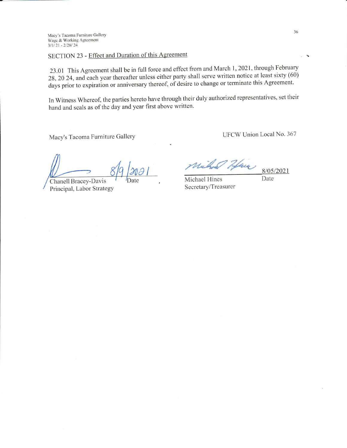Macy's Tacoma Furniture Gallery Wage & Working Agreement  $3/1/21 - 2/28/24$ 

# SECTION 23 - Effect and Duration of this Agreement

23.01 This Agreement shall be in full force and effect from and March 1, 2021, through February 28, 20 24, and each year thereafter unless either party shall serve written notice at least sixty (60) days prior to expiration or anniversary thereof, of desire to change or terminate this Agreement.

In Witness Whereof, the parties hereto have through their duly authorized representatives, set their hand and seals as of the day and year first above written.

Macy's Tacoma Furniture Gallery

UFCW Union Local No. 367

Chanell Bracey-Davis Principal, Labor Strategy

Have

Michael Hines Secretary/Treasurer

8/05/2021

Date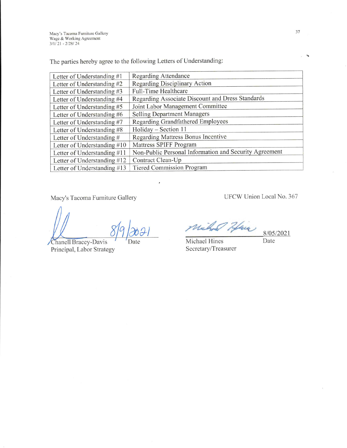Macy's Tacoma Furniture Gallery<br>Wage & Working Agreement<br>3/1/21 - 2/28/24

The parties hereby agree to the following Letters of Understanding:

| Letter of Understanding #1    | <b>Regarding Attendance</b>                            |
|-------------------------------|--------------------------------------------------------|
| Letter of Understanding #2    | <b>Regarding Disciplinary Action</b>                   |
| Letter of Understanding #3    | Full-Time Healthcare                                   |
| Letter of Understanding #4    | Regarding Associate Discount and Dress Standards       |
| Letter of Understanding #5    | Joint Labor Management Committee                       |
| Letter of Understanding #6    | <b>Selling Department Managers</b>                     |
| Letter of Understanding #7    | Regarding Grandfathered Employees                      |
| Letter of Understanding #8    | Holiday - Section 11                                   |
| Letter of Understanding #     | <b>Regarding Mattress Bonus Incentive</b>              |
| Letter of Understanding $#10$ | Mattress SPIFF Program                                 |
| Letter of Understanding #11   | Non-Public Personal Information and Security Agreement |
| Letter of Understanding #12   | Contract Clean-Up                                      |
| Letter of Understanding #13   | <b>Tiered Commission Program</b>                       |

Macy's Tacoma Furniture Gallery

Date

Chanell Bracey-Davis Principal, Labor Strategy UFCW Union Local No. 367

Michael Hine

Michael Hines Secretary/Treasurer 8/05/2021 Date

37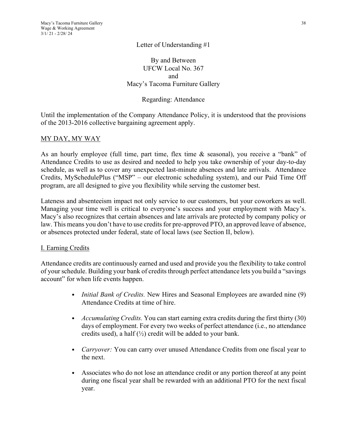By and Between UFCW Local No. 367 and Macy's Tacoma Furniture Gallery

## Regarding: Attendance

Until the implementation of the Company Attendance Policy, it is understood that the provisions of the 2013-2016 collective bargaining agreement apply.

## MY DAY, MY WAY

As an hourly employee (full time, part time, flex time & seasonal), you receive a "bank" of Attendance Credits to use as desired and needed to help you take ownership of your day-to-day schedule, as well as to cover any unexpected last-minute absences and late arrivals. Attendance Credits, MySchedulePlus ("MSP" – our electronic scheduling system), and our Paid Time Off program, are all designed to give you flexibility while serving the customer best.

Lateness and absenteeism impact not only service to our customers, but your coworkers as well. Managing your time well is critical to everyone's success and your employment with Macy's. Macy's also recognizes that certain absences and late arrivals are protected by company policy or law. This means you don't have to use credits for pre-approved PTO, an approved leave of absence, or absences protected under federal, state of local laws (see Section II, below).

#### I. Earning Credits

Attendance credits are continuously earned and used and provide you the flexibility to take control of your schedule. Building your bank of credits through perfect attendance lets you build a "savings account" for when life events happen.

- *Initial Bank of Credits.* New Hires and Seasonal Employees are awarded nine (9) Attendance Credits at time of hire.
- *Accumulating Credits.* You can start earning extra credits during the first thirty (30) days of employment. For every two weeks of perfect attendance (i.e., no attendance credits used), a half  $(\frac{1}{2})$  credit will be added to your bank.
- *Carryover:* You can carry over unused Attendance Credits from one fiscal year to the next.
- Associates who do not lose an attendance credit or any portion thereof at any point during one fiscal year shall be rewarded with an additional PTO for the next fiscal year.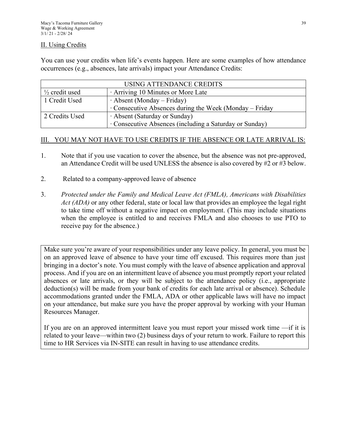#### II. Using Credits

You can use your credits when life's events happen. Here are some examples of how attendance occurrences (e.g., absences, late arrivals) impact your Attendance Credits:

| USING ATTENDANCE CREDITS  |                                                               |  |  |  |
|---------------------------|---------------------------------------------------------------|--|--|--|
| $\frac{1}{2}$ credit used | Arriving 10 Minutes or More Late                              |  |  |  |
| 1 Credit Used             | $\cdot$ Absent (Monday – Friday)                              |  |  |  |
|                           | $\cdot$ Consecutive Absences during the Week (Monday – Friday |  |  |  |
| 2 Credits Used            | · Absent (Saturday or Sunday)                                 |  |  |  |
|                           | · Consecutive Absences (including a Saturday or Sunday)       |  |  |  |

## III. YOU MAY NOT HAVE TO USE CREDITS IF THE ABSENCE OR LATE ARRIVAL IS:

- 1. Note that if you use vacation to cover the absence, but the absence was not pre-approved, an Attendance Credit will be used UNLESS the absence is also covered by #2 or #3 below.
- 2. Related to a company-approved leave of absence
- 3. *Protected under the Family and Medical Leave Act (FMLA), Americans with Disabilities Act (ADA)* or any other federal, state or local law that provides an employee the legal right to take time off without a negative impact on employment. (This may include situations when the employee is entitled to and receives FMLA and also chooses to use PTO to receive pay for the absence.)

Make sure you're aware of your responsibilities under any leave policy. In general, you must be on an approved leave of absence to have your time off excused. This requires more than just bringing in a doctor's note. You must comply with the leave of absence application and approval process. And if you are on an intermittent leave of absence you must promptly report your related absences or late arrivals, or they will be subject to the attendance policy (i.e., appropriate deduction(s) will be made from your bank of credits for each late arrival or absence). Schedule accommodations granted under the FMLA, ADA or other applicable laws will have no impact on your attendance, but make sure you have the proper approval by working with your Human Resources Manager.

If you are on an approved intermittent leave you must report your missed work time —if it is related to your leave—within two (2) business days of your return to work. Failure to report this time to HR Services via IN-SITE can result in having to use attendance credits.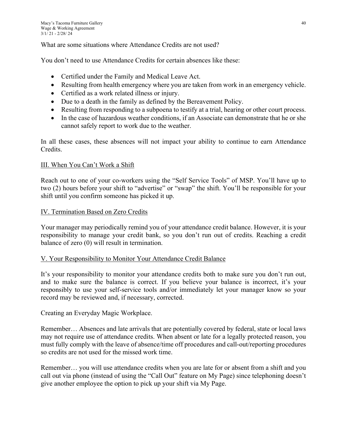What are some situations where Attendance Credits are not used?

You don't need to use Attendance Credits for certain absences like these:

- Certified under the Family and Medical Leave Act.
- Resulting from health emergency where you are taken from work in an emergency vehicle.
- Certified as a work related illness or injury.
- Due to a death in the family as defined by the Bereavement Policy.
- Resulting from responding to a subpoena to testify at a trial, hearing or other court process.
- $\bullet$  In the case of hazardous weather conditions, if an Associate can demonstrate that he or she cannot safely report to work due to the weather.

In all these cases, these absences will not impact your ability to continue to earn Attendance Credits.

## III. When You Can't Work a Shift

Reach out to one of your co-workers using the "Self Service Tools" of MSP. You'll have up to two (2) hours before your shift to "advertise" or "swap" the shift. You'll be responsible for your shift until you confirm someone has picked it up.

## IV. Termination Based on Zero Credits

Your manager may periodically remind you of your attendance credit balance. However, it is your responsibility to manage your credit bank, so you don't run out of credits. Reaching a credit balance of zero (0) will result in termination.

## V. Your Responsibility to Monitor Your Attendance Credit Balance

It's your responsibility to monitor your attendance credits both to make sure you don't run out, and to make sure the balance is correct. If you believe your balance is incorrect, it's your responsibly to use your self-service tools and/or immediately let your manager know so your record may be reviewed and, if necessary, corrected.

Creating an Everyday Magic Workplace.

Remember… Absences and late arrivals that are potentially covered by federal, state or local laws may not require use of attendance credits. When absent or late for a legally protected reason, you must fully comply with the leave of absence/time off procedures and call-out/reporting procedures so credits are not used for the missed work time.

Remember… you will use attendance credits when you are late for or absent from a shift and you call out via phone (instead of using the "Call Out" feature on My Page) since telephoning doesn't give another employee the option to pick up your shift via My Page.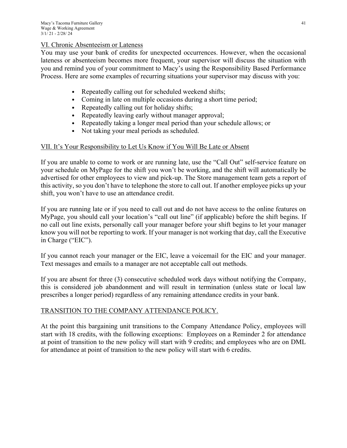## VI. Chronic Absenteeism or Lateness

You may use your bank of credits for unexpected occurrences. However, when the occasional lateness or absenteeism becomes more frequent, your supervisor will discuss the situation with you and remind you of your commitment to Macy's using the Responsibility Based Performance Process. Here are some examples of recurring situations your supervisor may discuss with you:

- Repeatedly calling out for scheduled weekend shifts;
- Coming in late on multiple occasions during a short time period;
- Repeatedly calling out for holiday shifts;
- Repeatedly leaving early without manager approval;
- Repeatedly taking a longer meal period than your schedule allows; or
- Not taking your meal periods as scheduled.

## VII. It's Your Responsibility to Let Us Know if You Will Be Late or Absent

If you are unable to come to work or are running late, use the "Call Out" self-service feature on your schedule on MyPage for the shift you won't be working, and the shift will automatically be advertised for other employees to view and pick-up. The Store management team gets a report of this activity, so you don't have to telephone the store to call out. If another employee picks up your shift, you won't have to use an attendance credit.

If you are running late or if you need to call out and do not have access to the online features on MyPage, you should call your location's "call out line" (if applicable) before the shift begins. If no call out line exists, personally call your manager before your shift begins to let your manager know you will not be reporting to work. If your manager is not working that day, call the Executive in Charge ("EIC").

If you cannot reach your manager or the EIC, leave a voicemail for the EIC and your manager. Text messages and emails to a manager are not acceptable call out methods.

If you are absent for three (3) consecutive scheduled work days without notifying the Company, this is considered job abandonment and will result in termination (unless state or local law prescribes a longer period) regardless of any remaining attendance credits in your bank.

## TRANSITION TO THE COMPANY ATTENDANCE POLICY.

At the point this bargaining unit transitions to the Company Attendance Policy, employees will start with 18 credits, with the following exceptions: Employees on a Reminder 2 for attendance at point of transition to the new policy will start with 9 credits; and employees who are on DML for attendance at point of transition to the new policy will start with 6 credits.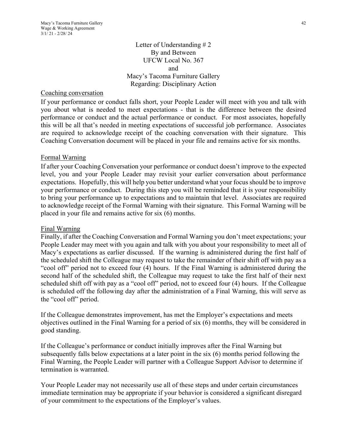Letter of Understanding # 2 By and Between UFCW Local No. 367 and Macy's Tacoma Furniture Gallery Regarding: Disciplinary Action

#### Coaching conversation

If your performance or conduct falls short, your People Leader will meet with you and talk with you about what is needed to meet expectations - that is the difference between the desired performance or conduct and the actual performance or conduct. For most associates, hopefully this will be all that's needed in meeting expectations of successful job performance. Associates are required to acknowledge receipt of the coaching conversation with their signature. This Coaching Conversation document will be placed in your file and remains active for six months.

#### Formal Warning

If after your Coaching Conversation your performance or conduct doesn't improve to the expected level, you and your People Leader may revisit your earlier conversation about performance expectations. Hopefully, this will help you better understand what your focus should be to improve your performance or conduct. During this step you will be reminded that it is your responsibility to bring your performance up to expectations and to maintain that level. Associates are required to acknowledge receipt of the Formal Warning with their signature. This Formal Warning will be placed in your file and remains active for six (6) months.

#### Final Warning

Finally, if after the Coaching Conversation and Formal Warning you don't meet expectations; your People Leader may meet with you again and talk with you about your responsibility to meet all of Macy's expectations as earlier discussed. If the warning is administered during the first half of the scheduled shift the Colleague may request to take the remainder of their shift off with pay as a "cool off" period not to exceed four (4) hours. If the Final Warning is administered during the second half of the scheduled shift, the Colleague may request to take the first half of their next scheduled shift off with pay as a "cool off" period, not to exceed four (4) hours. If the Colleague is scheduled off the following day after the administration of a Final Warning, this will serve as the "cool off" period.

If the Colleague demonstrates improvement, has met the Employer's expectations and meets objectives outlined in the Final Warning for a period of six (6) months, they will be considered in good standing.

If the Colleague's performance or conduct initially improves after the Final Warning but subsequently falls below expectations at a later point in the six (6) months period following the Final Warning, the People Leader will partner with a Colleague Support Advisor to determine if termination is warranted.

Your People Leader may not necessarily use all of these steps and under certain circumstances immediate termination may be appropriate if your behavior is considered a significant disregard of your commitment to the expectations of the Employer's values.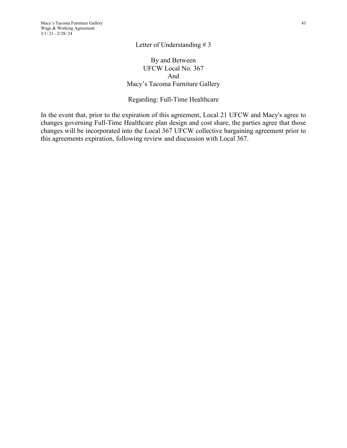By and Between UFCW Local No. 367 And Macy's Tacoma Furniture Gallery

#### Regarding: Full-Time Healthcare

In the event that, prior to the expiration of this agreement, Local 21 UFCW and Macy's agree to changes governing Full-Time Healthcare plan design and cost share, the parties agree that those changes will be incorporated into the Local 367 UFCW collective bargaining agreement prior to this agreements expiration, following review and discussion with Local 367.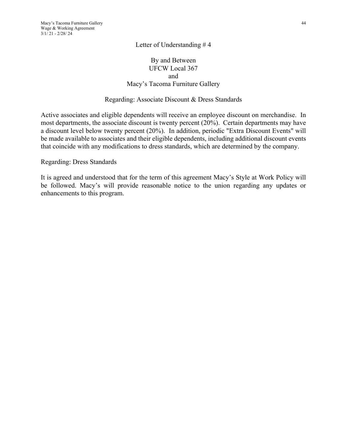## By and Between UFCW Local 367 and Macy's Tacoma Furniture Gallery

#### Regarding: Associate Discount & Dress Standards

Active associates and eligible dependents will receive an employee discount on merchandise. In most departments, the associate discount is twenty percent (20%). Certain departments may have a discount level below twenty percent (20%). In addition, periodic "Extra Discount Events" will be made available to associates and their eligible dependents, including additional discount events that coincide with any modifications to dress standards, which are determined by the company.

Regarding: Dress Standards

It is agreed and understood that for the term of this agreement Macy's Style at Work Policy will be followed. Macy's will provide reasonable notice to the union regarding any updates or enhancements to this program.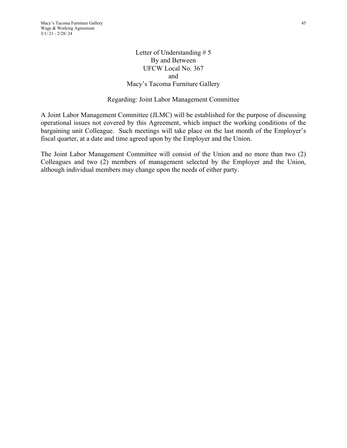## Letter of Understanding # 5 By and Between UFCW Local No. 367 and Macy's Tacoma Furniture Gallery

## Regarding: Joint Labor Management Committee

A Joint Labor Management Committee (JLMC) will be established for the purpose of discussing operational issues not covered by this Agreement, which impact the working conditions of the bargaining unit Colleague. Such meetings will take place on the last month of the Employer's fiscal quarter, at a date and time agreed upon by the Employer and the Union.

The Joint Labor Management Committee will consist of the Union and no more than two (2) Colleagues and two (2) members of management selected by the Employer and the Union, although individual members may change upon the needs of either party.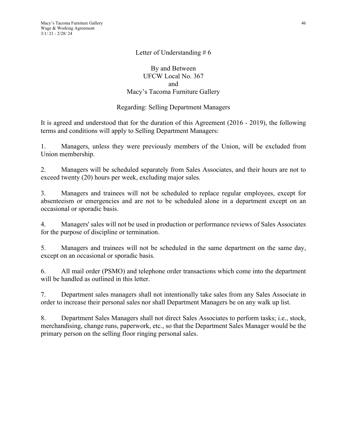## By and Between UFCW Local No. 367 and Macy's Tacoma Furniture Gallery

## Regarding: Selling Department Managers

It is agreed and understood that for the duration of this Agreement (2016 - 2019), the following terms and conditions will apply to Selling Department Managers:

1. Managers, unless they were previously members of the Union, will be excluded from Union membership.

2. Managers will be scheduled separately from Sales Associates, and their hours are not to exceed twenty (20) hours per week, excluding major sales.

3. Managers and trainees will not be scheduled to replace regular employees, except for absenteeism or emergencies and are not to be scheduled alone in a department except on an occasional or sporadic basis.

4. Managers' sales will not be used in production or performance reviews of Sales Associates for the purpose of discipline or termination.

5. Managers and trainees will not be scheduled in the same department on the same day, except on an occasional or sporadic basis.

6. All mail order (PSMO) and telephone order transactions which come into the department will be handled as outlined in this letter.

7. Department sales managers shall not intentionally take sales from any Sales Associate in order to increase their personal sales nor shall Department Managers be on any walk up list.

8. Department Sales Managers shall not direct Sales Associates to perform tasks; i.e., stock, merchandising, change runs, paperwork, etc., so that the Department Sales Manager would be the primary person on the selling floor ringing personal sales.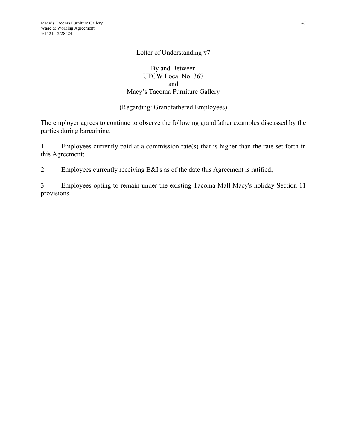## By and Between UFCW Local No. 367 and Macy's Tacoma Furniture Gallery

## (Regarding: Grandfathered Employees)

The employer agrees to continue to observe the following grandfather examples discussed by the parties during bargaining.

1. Employees currently paid at a commission rate(s) that is higher than the rate set forth in this Agreement;

2. Employees currently receiving B&I's as of the date this Agreement is ratified;

3. Employees opting to remain under the existing Tacoma Mall Macy's holiday Section 11 provisions.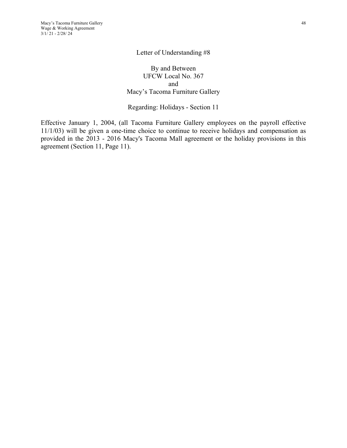By and Between UFCW Local No. 367 and Macy's Tacoma Furniture Gallery

Regarding: Holidays - Section 11

Effective January 1, 2004, (all Tacoma Furniture Gallery employees on the payroll effective 11/1/03) will be given a one-time choice to continue to receive holidays and compensation as provided in the 2013 - 2016 Macy's Tacoma Mall agreement or the holiday provisions in this agreement (Section 11, Page 11).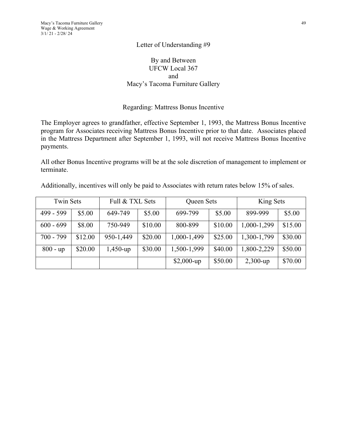## By and Between UFCW Local 367 and Macy's Tacoma Furniture Gallery

#### Regarding: Mattress Bonus Incentive

The Employer agrees to grandfather, effective September 1, 1993, the Mattress Bonus Incentive program for Associates receiving Mattress Bonus Incentive prior to that date. Associates placed in the Mattress Department after September 1, 1993, will not receive Mattress Bonus Incentive payments.

All other Bonus Incentive programs will be at the sole discretion of management to implement or terminate.

| Additionally, incentives will only be paid to Associates with return rates below 15% of sales. |  |  |  |  |  |  |
|------------------------------------------------------------------------------------------------|--|--|--|--|--|--|
|------------------------------------------------------------------------------------------------|--|--|--|--|--|--|

| <b>Twin Sets</b> |         | Full & TXL Sets |         | Queen Sets   |         | King Sets   |         |
|------------------|---------|-----------------|---------|--------------|---------|-------------|---------|
| 499 - 599        | \$5.00  | 649-749         | \$5.00  | 699-799      | \$5.00  | 899-999     | \$5.00  |
| $600 - 699$      | \$8.00  | 750-949         | \$10.00 | 800-899      | \$10.00 | 1,000-1,299 | \$15.00 |
| $700 - 799$      | \$12.00 | 950-1,449       | \$20.00 | 1,000-1,499  | \$25.00 | 1,300-1,799 | \$30.00 |
| $800 - up$       | \$20.00 | $1,450$ -up     | \$30.00 | 1,500-1,999  | \$40.00 | 1,800-2,229 | \$50.00 |
|                  |         |                 |         | $$2,000$ -up | \$50.00 | $2,300$ -up | \$70.00 |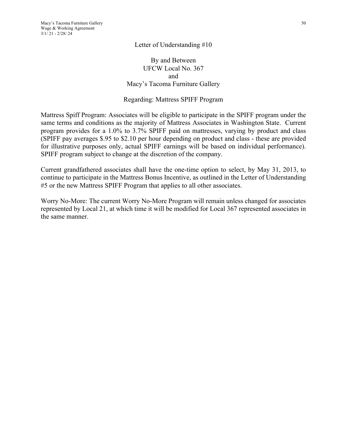## By and Between UFCW Local No. 367 and Macy's Tacoma Furniture Gallery

#### Regarding: Mattress SPIFF Program

Mattress Spiff Program: Associates will be eligible to participate in the SPIFF program under the same terms and conditions as the majority of Mattress Associates in Washington State. Current program provides for a 1.0% to 3.7% SPIFF paid on mattresses, varying by product and class (SPIFF pay averages \$.95 to \$2.10 per hour depending on product and class - these are provided for illustrative purposes only, actual SPIFF earnings will be based on individual performance). SPIFF program subject to change at the discretion of the company.

Current grandfathered associates shall have the one-time option to select, by May 31, 2013, to continue to participate in the Mattress Bonus Incentive, as outlined in the Letter of Understanding #5 or the new Mattress SPIFF Program that applies to all other associates.

Worry No-More: The current Worry No-More Program will remain unless changed for associates represented by Local 21, at which time it will be modified for Local 367 represented associates in the same manner.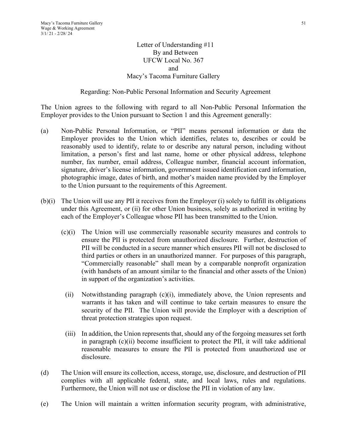## Letter of Understanding #11 By and Between UFCW Local No. 367 and Macy's Tacoma Furniture Gallery

## Regarding: Non-Public Personal Information and Security Agreement

The Union agrees to the following with regard to all Non-Public Personal Information the Employer provides to the Union pursuant to Section 1 and this Agreement generally:

- (a) Non-Public Personal Information, or "PII" means personal information or data the Employer provides to the Union which identifies, relates to, describes or could be reasonably used to identify, relate to or describe any natural person, including without limitation, a person's first and last name, home or other physical address, telephone number, fax number, email address, Colleague number, financial account information, signature, driver's license information, government issued identification card information, photographic image, dates of birth, and mother's maiden name provided by the Employer to the Union pursuant to the requirements of this Agreement.
- (b)(i) The Union will use any PII it receives from the Employer (i) solely to fulfill its obligations under this Agreement, or (ii) for other Union business, solely as authorized in writing by each of the Employer's Colleague whose PII has been transmitted to the Union.
	- (c)(i) The Union will use commercially reasonable security measures and controls to ensure the PII is protected from unauthorized disclosure. Further, destruction of PII will be conducted in a secure manner which ensures PII will not be disclosed to third parties or others in an unauthorized manner. For purposes of this paragraph, "Commercially reasonable" shall mean by a comparable nonprofit organization (with handsets of an amount similar to the financial and other assets of the Union) in support of the organization's activities.
	- (ii) Notwithstanding paragraph (c)(i), immediately above, the Union represents and warrants it has taken and will continue to take certain measures to ensure the security of the PII. The Union will provide the Employer with a description of threat protection strategies upon request.
	- (iii) In addition, the Union represents that, should any of the forgoing measures set forth in paragraph  $(c)(ii)$  become insufficient to protect the PII, it will take additional reasonable measures to ensure the PII is protected from unauthorized use or disclosure.
- (d) The Union will ensure its collection, access, storage, use, disclosure, and destruction of PII complies with all applicable federal, state, and local laws, rules and regulations. Furthermore, the Union will not use or disclose the PII in violation of any law.
- (e) The Union will maintain a written information security program, with administrative,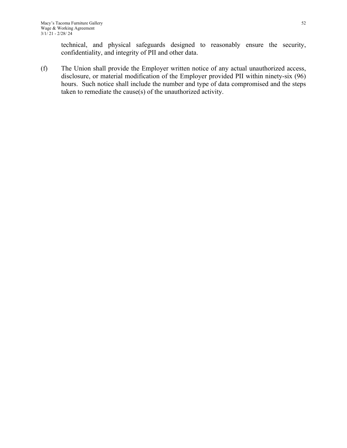technical, and physical safeguards designed to reasonably ensure the security, confidentiality, and integrity of PII and other data.

(f) The Union shall provide the Employer written notice of any actual unauthorized access, disclosure, or material modification of the Employer provided PII within ninety-six (96) hours. Such notice shall include the number and type of data compromised and the steps taken to remediate the cause(s) of the unauthorized activity.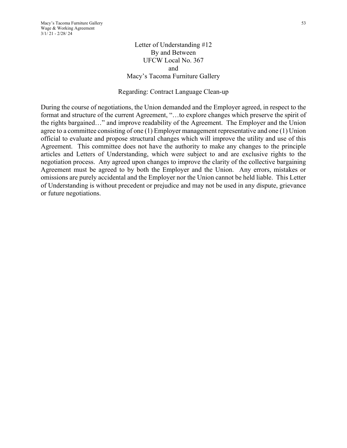Letter of Understanding #12 By and Between UFCW Local No. 367 and Macy's Tacoma Furniture Gallery

#### Regarding: Contract Language Clean-up

During the course of negotiations, the Union demanded and the Employer agreed, in respect to the format and structure of the current Agreement, "…to explore changes which preserve the spirit of the rights bargained…" and improve readability of the Agreement. The Employer and the Union agree to a committee consisting of one (1) Employer management representative and one (1) Union official to evaluate and propose structural changes which will improve the utility and use of this Agreement. This committee does not have the authority to make any changes to the principle articles and Letters of Understanding, which were subject to and are exclusive rights to the negotiation process. Any agreed upon changes to improve the clarity of the collective bargaining Agreement must be agreed to by both the Employer and the Union. Any errors, mistakes or omissions are purely accidental and the Employer nor the Union cannot be held liable. This Letter of Understanding is without precedent or prejudice and may not be used in any dispute, grievance or future negotiations.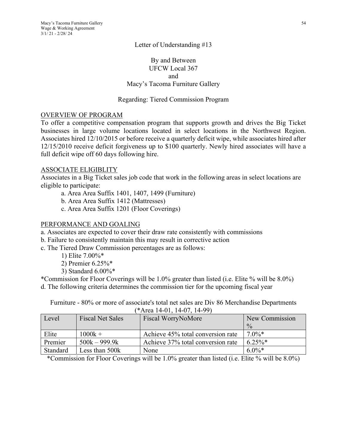## By and Between UFCW Local 367 and Macy's Tacoma Furniture Gallery

## Regarding: Tiered Commission Program

#### OVERVIEW OF PROGRAM

To offer a competitive compensation program that supports growth and drives the Big Ticket businesses in large volume locations located in select locations in the Northwest Region. Associates hired 12/10/2015 or before receive a quarterly deficit wipe, while associates hired after 12/15/2010 receive deficit forgiveness up to \$100 quarterly. Newly hired associates will have a full deficit wipe off 60 days following hire.

#### ASSOCIATE ELIGIBLITY

Associates in a Big Ticket sales job code that work in the following areas in select locations are eligible to participate:

- a. Area Area Suffix 1401, 1407, 1499 (Furniture)
- b. Area Area Suffix 1412 (Mattresses)
- c. Area Area Suffix 1201 (Floor Coverings)

#### PERFORMANCE AND GOALING

- a. Associates are expected to cover their draw rate consistently with commissions
- b. Failure to consistently maintain this may result in corrective action
- c. The Tiered Draw Commission percentages are as follows:
	- 1) Elite 7.00%\*
	- 2) Premier 6.25%\*
	- 3) Standard 6.00%\*

\*Commission for Floor Coverings will be 1.0% greater than listed (i.e. Elite % will be 8.0%) d. The following criteria determines the commission tier for the upcoming fiscal year

Furniture - 80% or more of associate's total net sales are Div 86 Merchandise Departments (\*Area 14-01, 14-07, 14-99)

| Level    | <b>Fiscal Net Sales</b> | Fiscal WorryNoMore                | New Commission |
|----------|-------------------------|-----------------------------------|----------------|
|          |                         |                                   | $\frac{0}{0}$  |
| Elite    | $1000k +$               | Achieve 45% total conversion rate | $7.0\%*$       |
| Premier  | $500k - 999.9k$         | Achieve 37% total conversion rate | $6.25\%$ *     |
| Standard | Less than 500k          | None                              | $6.0\%*$       |

\*Commission for Floor Coverings will be 1.0% greater than listed (i.e. Elite % will be 8.0%)